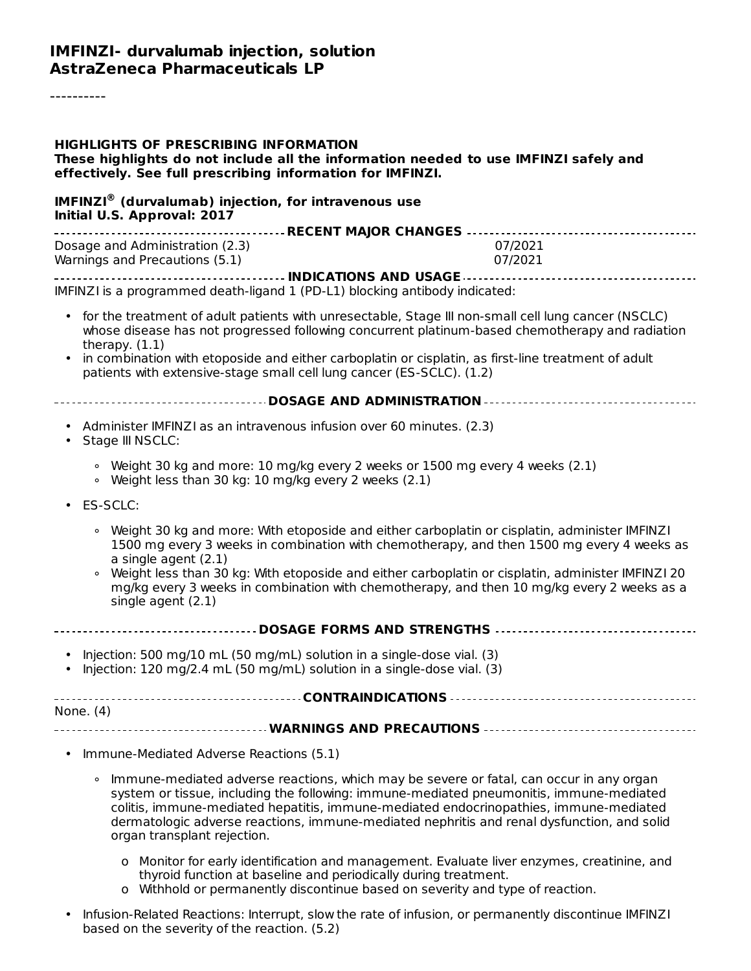#### **IMFINZI- durvalumab injection, solution AstraZeneca Pharmaceuticals LP**

#### **HIGHLIGHTS OF PRESCRIBING INFORMATION These highlights do not include all the information needed to use IMFINZI safely and effectively. See full prescribing information for IMFINZI. IMFINZI (durvalumab) injection, for intravenous use ® Initial U.S. Approval: 2017 RECENT MAJOR CHANGES** Dosage and Administration (2.3) 07/2021 Warnings and Precautions (5.1) 07/2021 **INDICATIONS AND USAGE** IMFINZI is a programmed death-ligand 1 (PD-L1) blocking antibody indicated: • for the treatment of adult patients with unresectable, Stage III non-small cell lung cancer (NSCLC) • in combination with etoposide and either carboplatin or cisplatin, as first-line treatment of adult **DOSAGE AND ADMINISTRATION** • Administer IMFINZI as an intravenous infusion over 60 minutes. (2.3) • Stage III NSCLC: • ES-SCLC: **DOSAGE FORMS AND STRENGTHS** • Injection: 500 mg/10 mL (50 mg/mL) solution in a single-dose vial. (3) • Injection: 120 mg/2.4 mL (50 mg/mL) solution in a single-dose vial. (3) **CONTRAINDICATIONS** None. (4) **WARNINGS AND PRECAUTIONS** • Immune-Mediated Adverse Reactions (5.1) whose disease has not progressed following concurrent platinum-based chemotherapy and radiation therapy. (1.1) patients with extensive-stage small cell lung cancer (ES-SCLC). (1.2) ∘ Weight 30 kg and more: 10 mg/kg every 2 weeks or 1500 mg every 4 weeks (2.1) ∘ Weight less than 30 kg: 10 mg/kg every 2 weeks (2.1) ∘ Weight 30 kg and more: With etoposide and either carboplatin or cisplatin, administer IMFINZI ∘ Weight less than 30 kg: With etoposide and either carboplatin or cisplatin, administer IMFINZI 20 1500 mg every 3 weeks in combination with chemotherapy, and then 1500 mg every 4 weeks as a single agent (2.1) mg/kg every 3 weeks in combination with chemotherapy, and then 10 mg/kg every 2 weeks as a single agent (2.1) ∘ Immune-mediated adverse reactions, which may be severe or fatal, can occur in any organ system or tissue, including the following: immune-mediated pneumonitis, immune-mediated colitis, immune-mediated hepatitis, immune-mediated endocrinopathies, immune-mediated dermatologic adverse reactions, immune-mediated nephritis and renal dysfunction, and solid organ transplant rejection.

- o Monitor for early identification and management. Evaluate liver enzymes, creatinine, and thyroid function at baseline and periodically during treatment.
- o Withhold or permanently discontinue based on severity and type of reaction.
- Infusion-Related Reactions: Interrupt, slow the rate of infusion, or permanently discontinue IMFINZI based on the severity of the reaction. (5.2)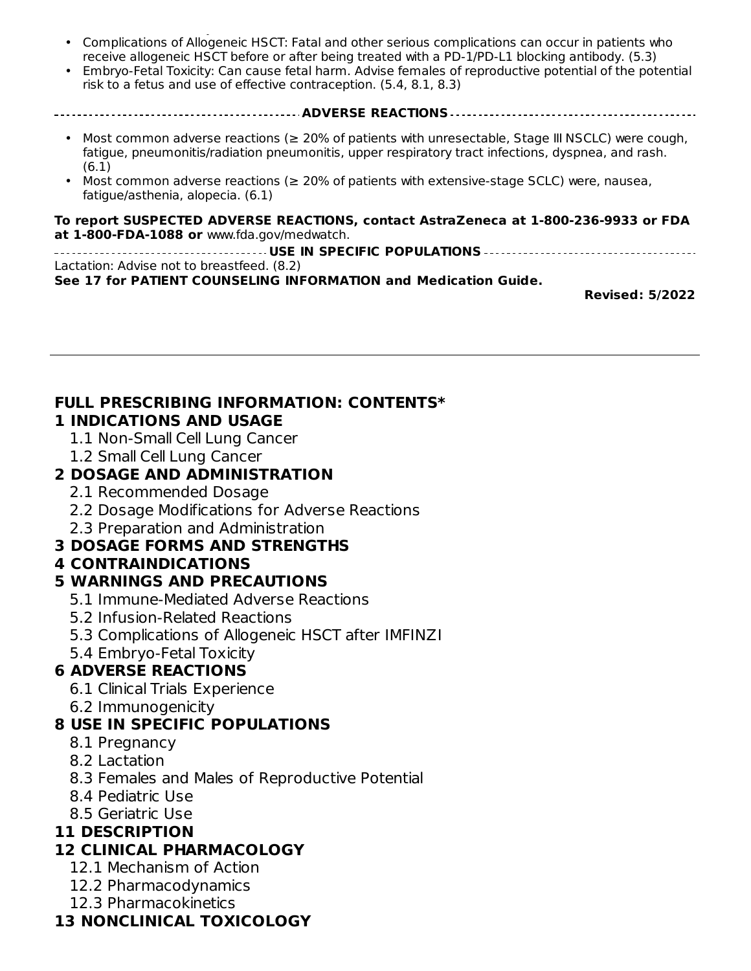- based on the severity of the reaction. (5.2) Complications of Allogeneic HSCT: Fatal and other serious complications can occur in patients who receive allogeneic HSCT before or after being treated with a PD-1/PD-L1 blocking antibody. (5.3)
- Embryo-Fetal Toxicity: Can cause fetal harm. Advise females of reproductive potential of the potential risk to a fetus and use of effective contraception. (5.4, 8.1, 8.3)
- **ADVERSE REACTIONS**
	- Most common adverse reactions (≥ 20% of patients with unresectable, Stage III NSCLC) were cough, fatigue, pneumonitis/radiation pneumonitis, upper respiratory tract infections, dyspnea, and rash. (6.1)
	- Most common adverse reactions ( $\geq$  20% of patients with extensive-stage SCLC) were, nausea, fatigue/asthenia, alopecia. (6.1)

#### **To report SUSPECTED ADVERSE REACTIONS, contact AstraZeneca at 1-800-236-9933 or FDA at 1-800-FDA-1088 or** www.fda.gov/medwatch.

**USE IN SPECIFIC POPULATIONS** Lactation: Advise not to breastfeed. (8.2)

**See 17 for PATIENT COUNSELING INFORMATION and Medication Guide.**

**Revised: 5/2022**

#### **FULL PRESCRIBING INFORMATION: CONTENTS\* 1 INDICATIONS AND USAGE**

- 1.1 Non-Small Cell Lung Cancer
- 1.2 Small Cell Lung Cancer

#### **2 DOSAGE AND ADMINISTRATION**

- 2.1 Recommended Dosage
- 2.2 Dosage Modifications for Adverse Reactions
- 2.3 Preparation and Administration

## **3 DOSAGE FORMS AND STRENGTHS**

#### **4 CONTRAINDICATIONS**

## **5 WARNINGS AND PRECAUTIONS**

- 5.1 Immune-Mediated Adverse Reactions
- 5.2 Infusion-Related Reactions
- 5.3 Complications of Allogeneic HSCT after IMFINZI
- 5.4 Embryo-Fetal Toxicity

## **6 ADVERSE REACTIONS**

- 6.1 Clinical Trials Experience
- 6.2 Immunogenicity

## **8 USE IN SPECIFIC POPULATIONS**

- 8.1 Pregnancy
- 8.2 Lactation
- 8.3 Females and Males of Reproductive Potential
- 8.4 Pediatric Use
- 8.5 Geriatric Use

## **11 DESCRIPTION**

## **12 CLINICAL PHARMACOLOGY**

- 12.1 Mechanism of Action
- 12.2 Pharmacodynamics
- 12.3 Pharmacokinetics

## **13 NONCLINICAL TOXICOLOGY**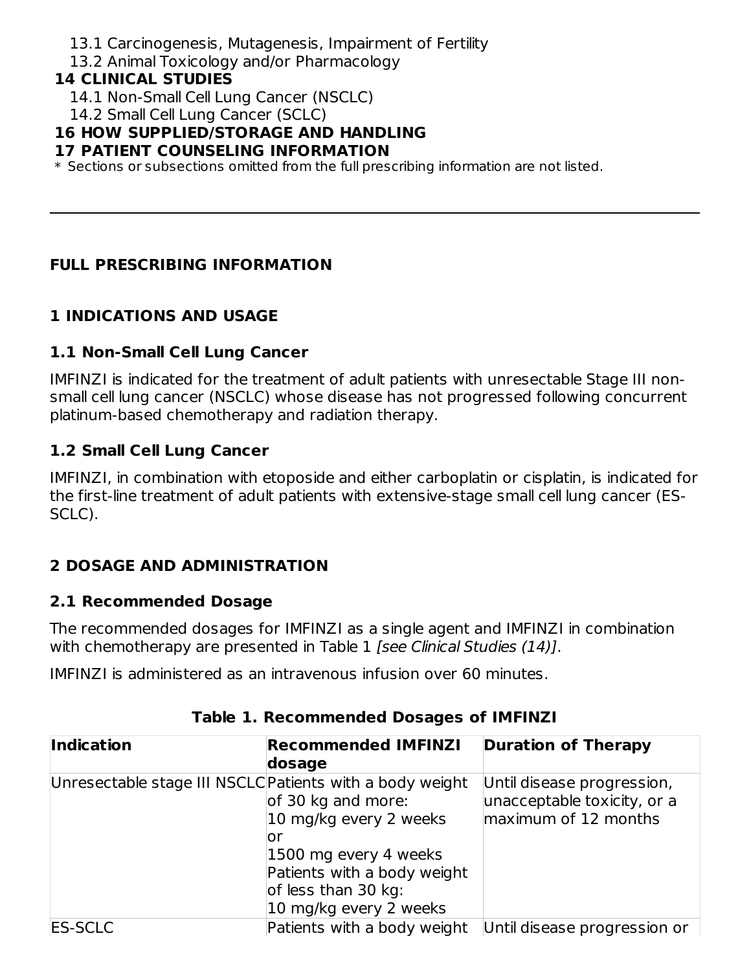- 13.1 Carcinogenesis, Mutagenesis, Impairment of Fertility
- 13.2 Animal Toxicology and/or Pharmacology

#### **14 CLINICAL STUDIES**

- 14.1 Non-Small Cell Lung Cancer (NSCLC)
- 14.2 Small Cell Lung Cancer (SCLC)

## **16 HOW SUPPLIED/STORAGE AND HANDLING**

#### **17 PATIENT COUNSELING INFORMATION**

 $\ast$  Sections or subsections omitted from the full prescribing information are not listed.

## **FULL PRESCRIBING INFORMATION**

## **1 INDICATIONS AND USAGE**

## **1.1 Non-Small Cell Lung Cancer**

IMFINZI is indicated for the treatment of adult patients with unresectable Stage III nonsmall cell lung cancer (NSCLC) whose disease has not progressed following concurrent platinum-based chemotherapy and radiation therapy.

## **1.2 Small Cell Lung Cancer**

IMFINZI, in combination with etoposide and either carboplatin or cisplatin, is indicated for the first-line treatment of adult patients with extensive-stage small cell lung cancer (ES-SCLC).

## **2 DOSAGE AND ADMINISTRATION**

## **2.1 Recommended Dosage**

The recommended dosages for IMFINZI as a single agent and IMFINZI in combination with chemotherapy are presented in Table 1 [see Clinical Studies (14)].

IMFINZI is administered as an intravenous infusion over 60 minutes.

| Indication                                               | <b>Recommended IMFINZI</b><br><b>Duration of Therapy</b> |                              |
|----------------------------------------------------------|----------------------------------------------------------|------------------------------|
|                                                          | dosage                                                   |                              |
| Unresectable stage III NSCLC Patients with a body weight |                                                          | Until disease progression,   |
|                                                          | of 30 kg and more:                                       | unacceptable toxicity, or a  |
|                                                          | 10 mg/kg every 2 weeks                                   | maximum of 12 months         |
|                                                          | or                                                       |                              |
|                                                          | 1500 mg every 4 weeks                                    |                              |
|                                                          | Patients with a body weight                              |                              |
|                                                          | of less than 30 kg:                                      |                              |
|                                                          | 10 mg/kg every 2 weeks                                   |                              |
| <b>ES-SCLC</b>                                           | Patients with a body weight                              | Until disease progression or |

## **Table 1. Recommended Dosages of IMFINZI**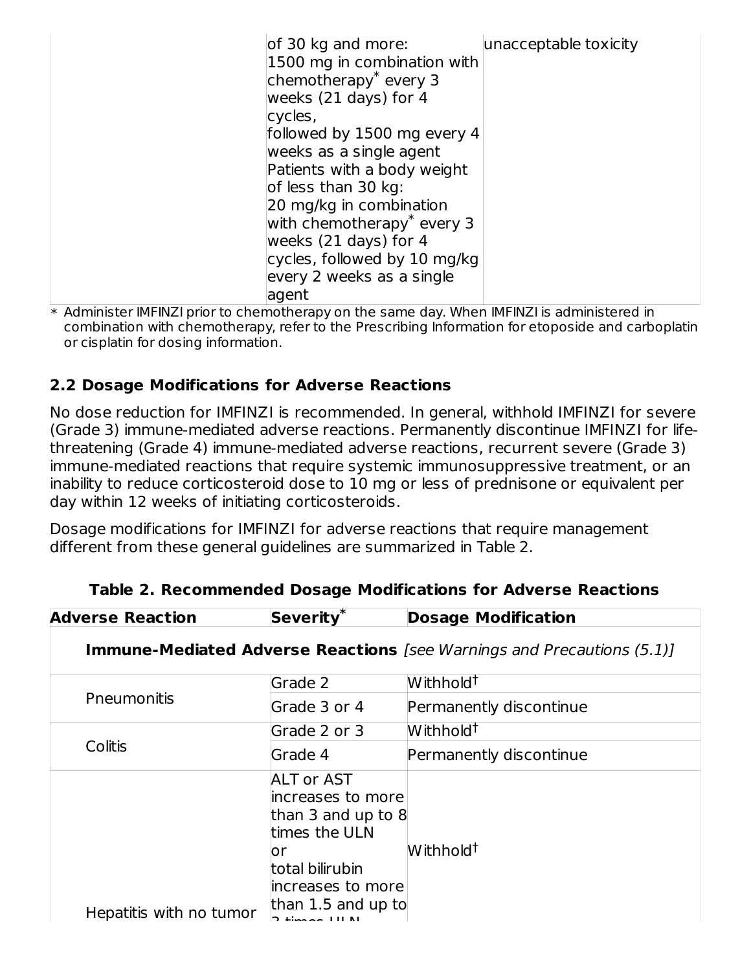| of 30 kg and more:                     | unacceptable toxicity |
|----------------------------------------|-----------------------|
| 1500 mg in combination with            |                       |
| chemotherapy <sup>*</sup> every 3      |                       |
| weeks $(21 \text{ days})$ for 4        |                       |
|                                        |                       |
| cycles,                                |                       |
| followed by 1500 mg every 4            |                       |
| weeks as a single agent                |                       |
| Patients with a body weight            |                       |
| of less than 30 kg:                    |                       |
| 20 mg/kg in combination                |                       |
| with chemotherapy <sup>*</sup> every 3 |                       |
| weeks $(21 \text{ days})$ for 4        |                       |
|                                        |                       |
| cycles, followed by 10 mg/kg           |                       |
| every 2 weeks as a single              |                       |
| agent                                  |                       |

\* Administer IMFINZI prior to chemotherapy on the same day. When IMFINZI is administered in combination with chemotherapy, refer to the Prescribing Information for etoposide and carboplatin or cisplatin for dosing information.

## **2.2 Dosage Modifications for Adverse Reactions**

No dose reduction for IMFINZI is recommended. In general, withhold IMFINZI for severe (Grade 3) immune-mediated adverse reactions. Permanently discontinue IMFINZI for lifethreatening (Grade 4) immune-mediated adverse reactions, recurrent severe (Grade 3) immune-mediated reactions that require systemic immunosuppressive treatment, or an inability to reduce corticosteroid dose to 10 mg or less of prednisone or equivalent per day within 12 weeks of initiating corticosteroids.

Dosage modifications for IMFINZI for adverse reactions that require management different from these general guidelines are summarized in Table 2.

| <b>Adverse Reaction</b> | Severity <sup>*</sup>                                                                                                                                                                           | <b>Dosage Modification</b>                                                    |
|-------------------------|-------------------------------------------------------------------------------------------------------------------------------------------------------------------------------------------------|-------------------------------------------------------------------------------|
|                         |                                                                                                                                                                                                 | <b>Immune-Mediated Adverse Reactions</b> [see Warnings and Precautions (5.1)] |
|                         | Grade 2                                                                                                                                                                                         | $W$ ithhold <sup>†</sup>                                                      |
| Pneumonitis             | Grade 3 or 4                                                                                                                                                                                    | Permanently discontinue                                                       |
|                         | Grade 2 or 3                                                                                                                                                                                    | Withhold <sup>†</sup>                                                         |
| Colitis                 | Grade 4                                                                                                                                                                                         | Permanently discontinue                                                       |
| Hepatitis with no tumor | <b>ALT or AST</b><br>increases to more<br>than 3 and up to $8$<br>times the ULN<br>or<br>total bilirubin<br>increases to more<br>than $1.5$ and up to<br>$5 \text{ times} \times 111 \text{ N}$ | Withhold <sup>†</sup>                                                         |

| Table 2. Recommended Dosage Modifications for Adverse Reactions |  |  |  |
|-----------------------------------------------------------------|--|--|--|
|-----------------------------------------------------------------|--|--|--|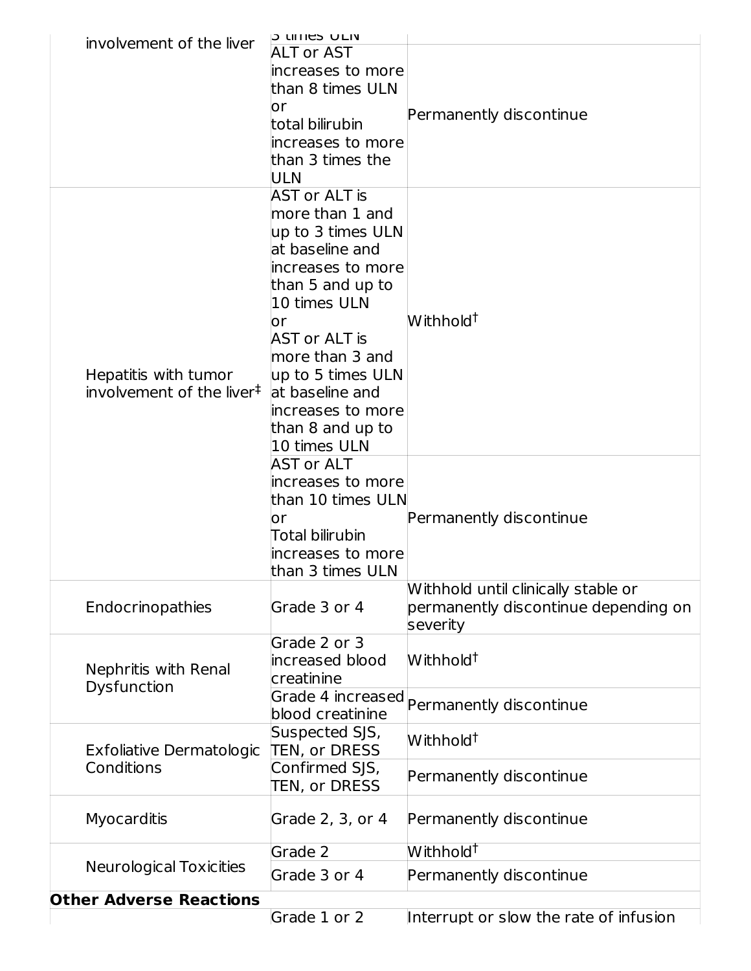|  |                                       | <b>PUTTIES ULIV</b>  |                                           |
|--|---------------------------------------|----------------------|-------------------------------------------|
|  | involvement of the liver              | <b>ALT or AST</b>    |                                           |
|  |                                       | increases to more    |                                           |
|  |                                       | than 8 times ULN     |                                           |
|  |                                       |                      |                                           |
|  |                                       | or                   | Permanently discontinue                   |
|  |                                       | total bilirubin      |                                           |
|  |                                       | increases to more    |                                           |
|  |                                       | than 3 times the     |                                           |
|  |                                       | ULN                  |                                           |
|  |                                       | <b>AST or ALT is</b> |                                           |
|  |                                       | more than 1 and      |                                           |
|  |                                       |                      |                                           |
|  |                                       | up to 3 times ULN    |                                           |
|  |                                       | at baseline and      |                                           |
|  |                                       | increases to more    |                                           |
|  |                                       | than 5 and up to     |                                           |
|  |                                       | 10 times ULN         |                                           |
|  |                                       | or                   | Withhold <sup>†</sup>                     |
|  |                                       | <b>AST or ALT is</b> |                                           |
|  |                                       | more than 3 and      |                                           |
|  | Hepatitis with tumor                  | up to 5 times ULN    |                                           |
|  |                                       |                      |                                           |
|  | involvement of the liver <sup>‡</sup> | at baseline and      |                                           |
|  | increases to more                     |                      |                                           |
|  |                                       | than 8 and up to     |                                           |
|  |                                       | 10 times ULN         |                                           |
|  |                                       | <b>AST or ALT</b>    |                                           |
|  |                                       | increases to more    |                                           |
|  |                                       | than 10 times ULN    |                                           |
|  |                                       | or                   | Permanently discontinue                   |
|  |                                       | Total bilirubin      |                                           |
|  |                                       |                      |                                           |
|  |                                       | increases to more    |                                           |
|  |                                       | than 3 times ULN     |                                           |
|  |                                       |                      | Withhold until clinically stable or       |
|  | Endocrinopathies                      | Grade 3 or 4         | permanently discontinue depending on      |
|  |                                       |                      | severity                                  |
|  |                                       | Grade 2 or 3         |                                           |
|  |                                       | increased blood      | Withhold <sup>†</sup>                     |
|  | Nephritis with Renal                  | creatinine           |                                           |
|  | Dysfunction                           |                      |                                           |
|  |                                       | blood creatinine     | Grade 4 increased Permanently discontinue |
|  |                                       |                      |                                           |
|  |                                       | Suspected SJS,       | Withhold <sup>†</sup>                     |
|  | <b>Exfoliative Dermatologic</b>       | <b>TEN, or DRESS</b> |                                           |
|  | Conditions                            | Confirmed SJS,       | Permanently discontinue                   |
|  |                                       | TEN, or DRESS        |                                           |
|  |                                       |                      |                                           |
|  | Myocarditis                           | Grade 2, 3, or 4     | Permanently discontinue                   |
|  |                                       |                      |                                           |
|  |                                       | Grade $\overline{2}$ | Withhold <sup>†</sup>                     |
|  | <b>Neurological Toxicities</b>        | Grade 3 or 4         | Permanently discontinue                   |
|  |                                       |                      |                                           |
|  | <b>Other Adverse Reactions</b>        |                      |                                           |
|  |                                       | Grade 1 or 2         | Interrupt or slow the rate of infusion    |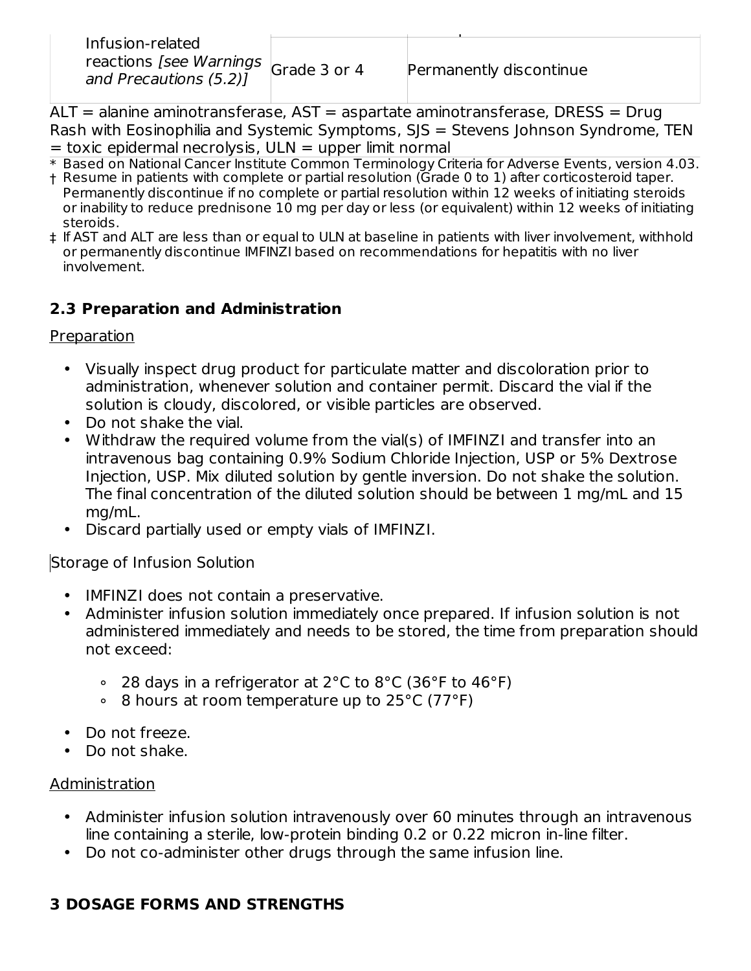| Infusion-related                                                       |                         |
|------------------------------------------------------------------------|-------------------------|
| reactions [see Warnings $\vert$ Grade 3 or 4<br>and Precautions (5.2)] | Permanently discontinue |
|                                                                        |                         |

ALT = alanine aminotransferase, AST = aspartate aminotransferase, DRESS = Drug Rash with Eosinophilia and Systemic Symptoms, SJS = Stevens Johnson Syndrome, TEN  $=$  toxic epidermal necrolysis, ULN  $=$  upper limit normal

- \* Based on National Cancer Institute Common Terminology Criteria for Adverse Events, version 4.03.
- † Resume in patients with complete or partial resolution (Grade 0 to 1) after corticosteroid taper. Permanently discontinue if no complete or partial resolution within 12 weeks of initiating steroids or inability to reduce prednisone 10 mg per day or less (or equivalent) within 12 weeks of initiating steroids.
- ‡ If AST and ALT are less than or equal to ULN at baseline in patients with liver involvement, withhold or permanently discontinue IMFINZI based on recommendations for hepatitis with no liver involvement.

## **2.3 Preparation and Administration**

Preparation

- Visually inspect drug product for particulate matter and discoloration prior to administration, whenever solution and container permit. Discard the vial if the solution is cloudy, discolored, or visible particles are observed.
- Do not shake the vial.
- Withdraw the required volume from the vial(s) of IMFINZI and transfer into an intravenous bag containing 0.9% Sodium Chloride Injection, USP or 5% Dextrose Injection, USP. Mix diluted solution by gentle inversion. Do not shake the solution. The final concentration of the diluted solution should be between 1 mg/mL and 15 mg/mL.
- Discard partially used or empty vials of IMFINZI.

Storage of Infusion Solution

- IMFINZI does not contain a preservative.
- Administer infusion solution immediately once prepared. If infusion solution is not administered immediately and needs to be stored, the time from preparation should not exceed:
	- ∘ 28 days in a refrigerator at 2°C to 8°C (36°F to 46°F)
	- ∘ 8 hours at room temperature up to 25°C (77°F)
- Do not freeze.
- Do not shake.

## Administration

- Administer infusion solution intravenously over 60 minutes through an intravenous line containing a sterile, low-protein binding 0.2 or 0.22 micron in-line filter.
- Do not co-administer other drugs through the same infusion line.

# **3 DOSAGE FORMS AND STRENGTHS**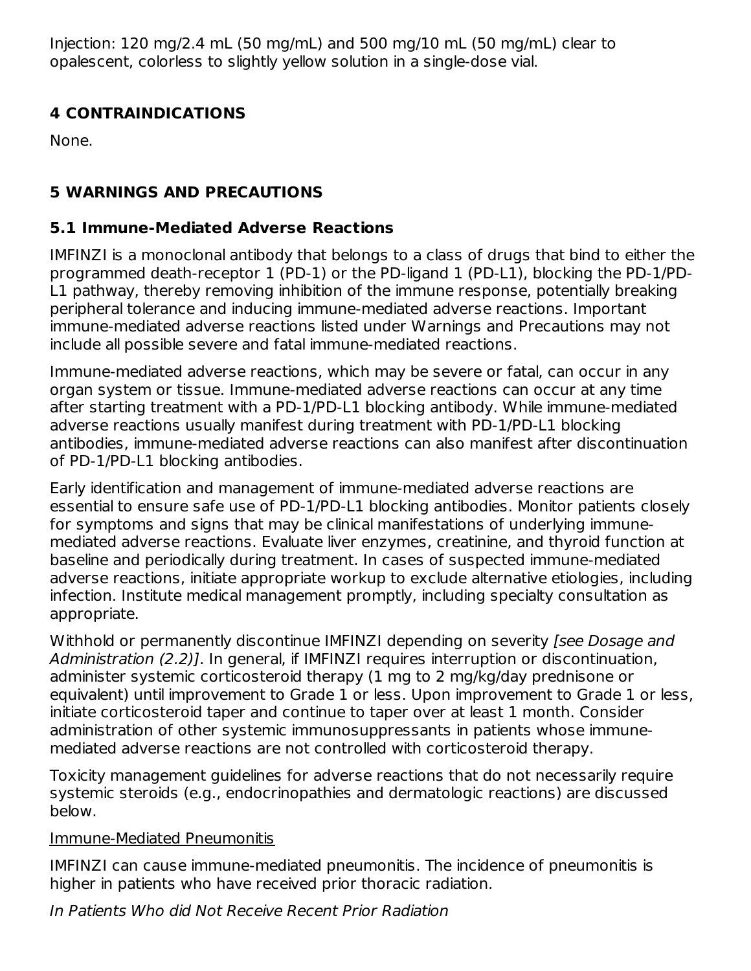Injection: 120 mg/2.4 mL (50 mg/mL) and 500 mg/10 mL (50 mg/mL) clear to opalescent, colorless to slightly yellow solution in a single-dose vial.

## **4 CONTRAINDICATIONS**

None.

## **5 WARNINGS AND PRECAUTIONS**

## **5.1 Immune-Mediated Adverse Reactions**

IMFINZI is a monoclonal antibody that belongs to a class of drugs that bind to either the programmed death-receptor 1 (PD-1) or the PD-ligand 1 (PD-L1), blocking the PD-1/PD-L1 pathway, thereby removing inhibition of the immune response, potentially breaking peripheral tolerance and inducing immune-mediated adverse reactions. Important immune-mediated adverse reactions listed under Warnings and Precautions may not include all possible severe and fatal immune-mediated reactions.

Immune-mediated adverse reactions, which may be severe or fatal, can occur in any organ system or tissue. Immune-mediated adverse reactions can occur at any time after starting treatment with a PD-1/PD-L1 blocking antibody. While immune-mediated adverse reactions usually manifest during treatment with PD-1/PD-L1 blocking antibodies, immune-mediated adverse reactions can also manifest after discontinuation of PD-1/PD-L1 blocking antibodies.

Early identification and management of immune-mediated adverse reactions are essential to ensure safe use of PD-1/PD-L1 blocking antibodies. Monitor patients closely for symptoms and signs that may be clinical manifestations of underlying immunemediated adverse reactions. Evaluate liver enzymes, creatinine, and thyroid function at baseline and periodically during treatment. In cases of suspected immune-mediated adverse reactions, initiate appropriate workup to exclude alternative etiologies, including infection. Institute medical management promptly, including specialty consultation as appropriate.

Withhold or permanently discontinue IMFINZI depending on severity *[see Dosage and* Administration (2.2)]. In general, if IMFINZI requires interruption or discontinuation, administer systemic corticosteroid therapy (1 mg to 2 mg/kg/day prednisone or equivalent) until improvement to Grade 1 or less. Upon improvement to Grade 1 or less, initiate corticosteroid taper and continue to taper over at least 1 month. Consider administration of other systemic immunosuppressants in patients whose immunemediated adverse reactions are not controlled with corticosteroid therapy.

Toxicity management guidelines for adverse reactions that do not necessarily require systemic steroids (e.g., endocrinopathies and dermatologic reactions) are discussed below.

## Immune-Mediated Pneumonitis

IMFINZI can cause immune-mediated pneumonitis. The incidence of pneumonitis is higher in patients who have received prior thoracic radiation.

In Patients Who did Not Receive Recent Prior Radiation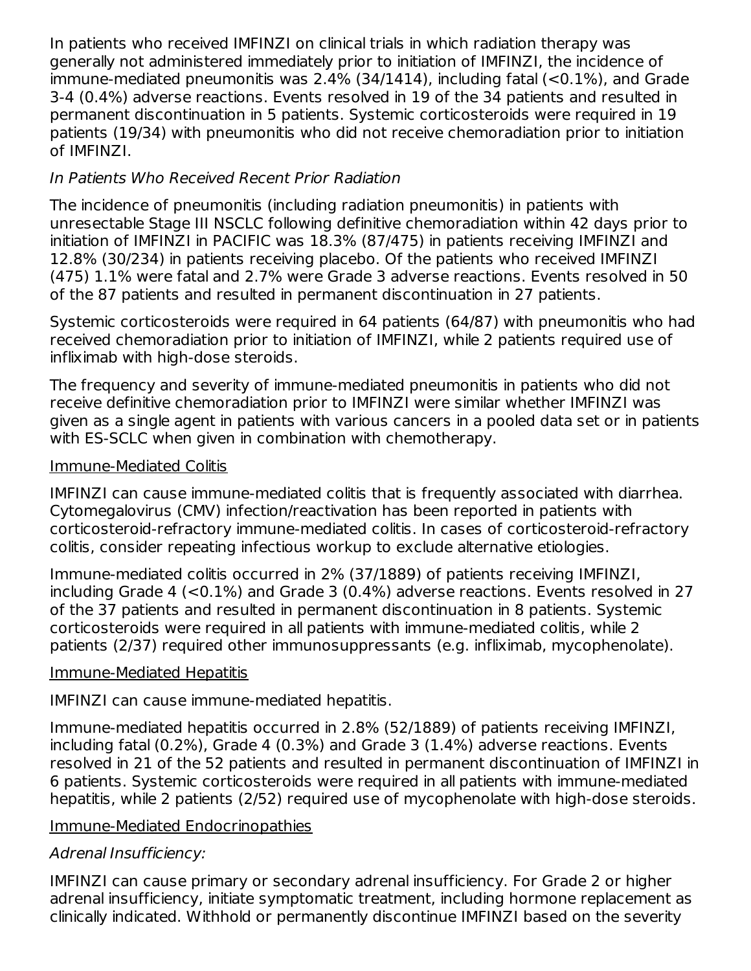In patients who received IMFINZI on clinical trials in which radiation therapy was generally not administered immediately prior to initiation of IMFINZI, the incidence of immune-mediated pneumonitis was 2.4% (34/1414), including fatal (<0.1%), and Grade 3-4 (0.4%) adverse reactions. Events resolved in 19 of the 34 patients and resulted in permanent discontinuation in 5 patients. Systemic corticosteroids were required in 19 patients (19/34) with pneumonitis who did not receive chemoradiation prior to initiation of IMFINZI.

## In Patients Who Received Recent Prior Radiation

The incidence of pneumonitis (including radiation pneumonitis) in patients with unresectable Stage III NSCLC following definitive chemoradiation within 42 days prior to initiation of IMFINZI in PACIFIC was 18.3% (87/475) in patients receiving IMFINZI and 12.8% (30/234) in patients receiving placebo. Of the patients who received IMFINZI (475) 1.1% were fatal and 2.7% were Grade 3 adverse reactions. Events resolved in 50 of the 87 patients and resulted in permanent discontinuation in 27 patients.

Systemic corticosteroids were required in 64 patients (64/87) with pneumonitis who had received chemoradiation prior to initiation of IMFINZI, while 2 patients required use of infliximab with high-dose steroids.

The frequency and severity of immune-mediated pneumonitis in patients who did not receive definitive chemoradiation prior to IMFINZI were similar whether IMFINZI was given as a single agent in patients with various cancers in a pooled data set or in patients with ES-SCLC when given in combination with chemotherapy.

#### Immune-Mediated Colitis

IMFINZI can cause immune-mediated colitis that is frequently associated with diarrhea. Cytomegalovirus (CMV) infection/reactivation has been reported in patients with corticosteroid-refractory immune-mediated colitis. In cases of corticosteroid-refractory colitis, consider repeating infectious workup to exclude alternative etiologies.

Immune-mediated colitis occurred in 2% (37/1889) of patients receiving IMFINZI, including Grade 4 (<0.1%) and Grade 3 (0.4%) adverse reactions. Events resolved in 27 of the 37 patients and resulted in permanent discontinuation in 8 patients. Systemic corticosteroids were required in all patients with immune-mediated colitis, while 2 patients (2/37) required other immunosuppressants (e.g. infliximab, mycophenolate).

## Immune-Mediated Hepatitis

IMFINZI can cause immune-mediated hepatitis.

Immune-mediated hepatitis occurred in 2.8% (52/1889) of patients receiving IMFINZI, including fatal (0.2%), Grade 4 (0.3%) and Grade 3 (1.4%) adverse reactions. Events resolved in 21 of the 52 patients and resulted in permanent discontinuation of IMFINZI in 6 patients. Systemic corticosteroids were required in all patients with immune-mediated hepatitis, while 2 patients (2/52) required use of mycophenolate with high-dose steroids.

#### Immune-Mediated Endocrinopathies

## Adrenal Insufficiency:

IMFINZI can cause primary or secondary adrenal insufficiency. For Grade 2 or higher adrenal insufficiency, initiate symptomatic treatment, including hormone replacement as clinically indicated. Withhold or permanently discontinue IMFINZI based on the severity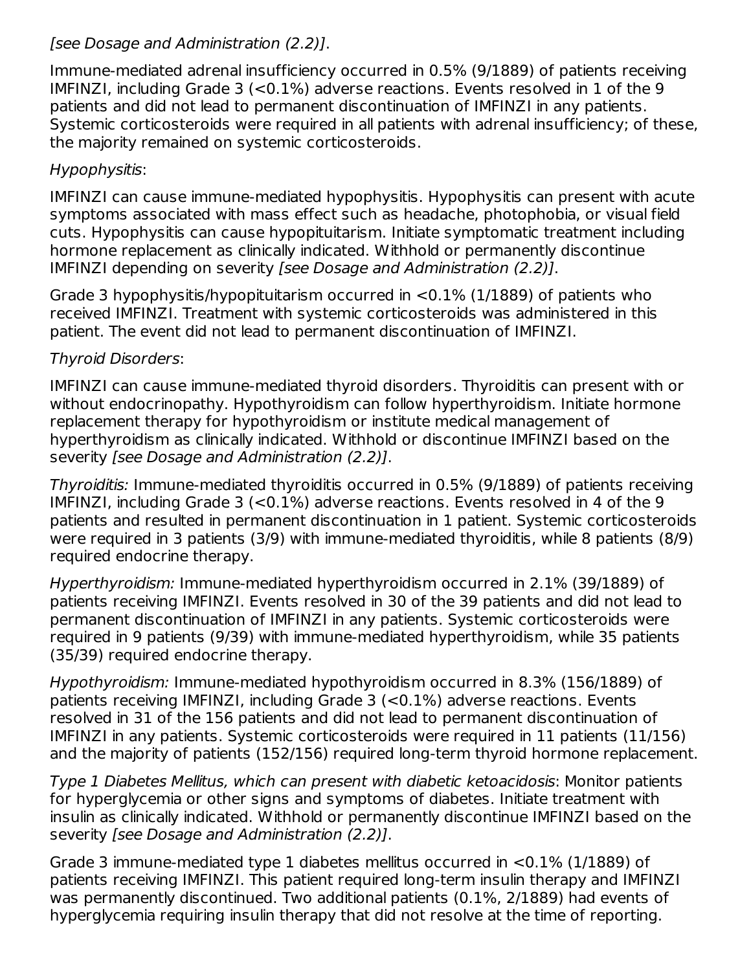## [see Dosage and Administration (2.2)].

Immune-mediated adrenal insufficiency occurred in 0.5% (9/1889) of patients receiving IMFINZI, including Grade 3 (<0.1%) adverse reactions. Events resolved in 1 of the 9 patients and did not lead to permanent discontinuation of IMFINZI in any patients. Systemic corticosteroids were required in all patients with adrenal insufficiency; of these, the majority remained on systemic corticosteroids.

## Hypophysitis:

IMFINZI can cause immune-mediated hypophysitis. Hypophysitis can present with acute symptoms associated with mass effect such as headache, photophobia, or visual field cuts. Hypophysitis can cause hypopituitarism. Initiate symptomatic treatment including hormone replacement as clinically indicated. Withhold or permanently discontinue IMFINZI depending on severity [see Dosage and Administration (2.2)].

Grade 3 hypophysitis/hypopituitarism occurred in <0.1% (1/1889) of patients who received IMFINZI. Treatment with systemic corticosteroids was administered in this patient. The event did not lead to permanent discontinuation of IMFINZI.

#### Thyroid Disorders:

IMFINZI can cause immune-mediated thyroid disorders. Thyroiditis can present with or without endocrinopathy. Hypothyroidism can follow hyperthyroidism. Initiate hormone replacement therapy for hypothyroidism or institute medical management of hyperthyroidism as clinically indicated. Withhold or discontinue IMFINZI based on the severity [see Dosage and Administration (2.2)].

Thyroiditis: Immune-mediated thyroiditis occurred in 0.5% (9/1889) of patients receiving IMFINZI, including Grade 3 (<0.1%) adverse reactions. Events resolved in 4 of the 9 patients and resulted in permanent discontinuation in 1 patient. Systemic corticosteroids were required in 3 patients (3/9) with immune-mediated thyroiditis, while 8 patients (8/9) required endocrine therapy.

Hyperthyroidism: Immune-mediated hyperthyroidism occurred in 2.1% (39/1889) of patients receiving IMFINZI. Events resolved in 30 of the 39 patients and did not lead to permanent discontinuation of IMFINZI in any patients. Systemic corticosteroids were required in 9 patients (9/39) with immune-mediated hyperthyroidism, while 35 patients (35/39) required endocrine therapy.

Hypothyroidism: Immune-mediated hypothyroidism occurred in 8.3% (156/1889) of patients receiving IMFINZI, including Grade 3 (<0.1%) adverse reactions. Events resolved in 31 of the 156 patients and did not lead to permanent discontinuation of IMFINZI in any patients. Systemic corticosteroids were required in 11 patients (11/156) and the majority of patients (152/156) required long-term thyroid hormone replacement.

Type 1 Diabetes Mellitus, which can present with diabetic ketoacidosis: Monitor patients for hyperglycemia or other signs and symptoms of diabetes. Initiate treatment with insulin as clinically indicated. Withhold or permanently discontinue IMFINZI based on the severity [see Dosage and Administration (2.2)].

Grade 3 immune-mediated type 1 diabetes mellitus occurred in <0.1% (1/1889) of patients receiving IMFINZI. This patient required long-term insulin therapy and IMFINZI was permanently discontinued. Two additional patients (0.1%, 2/1889) had events of hyperglycemia requiring insulin therapy that did not resolve at the time of reporting.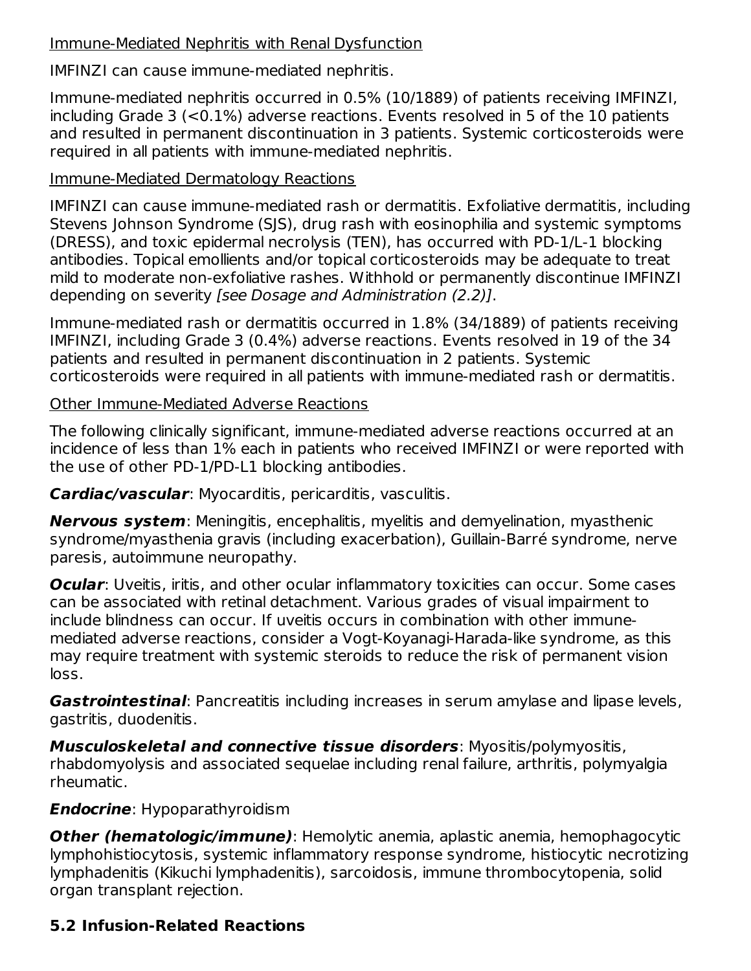#### Immune-Mediated Nephritis with Renal Dysfunction

IMFINZI can cause immune-mediated nephritis.

Immune-mediated nephritis occurred in 0.5% (10/1889) of patients receiving IMFINZI, including Grade 3 (<0.1%) adverse reactions. Events resolved in 5 of the 10 patients and resulted in permanent discontinuation in 3 patients. Systemic corticosteroids were required in all patients with immune-mediated nephritis.

#### Immune-Mediated Dermatology Reactions

IMFINZI can cause immune-mediated rash or dermatitis. Exfoliative dermatitis, including Stevens Johnson Syndrome (SJS), drug rash with eosinophilia and systemic symptoms (DRESS), and toxic epidermal necrolysis (TEN), has occurred with PD-1/L-1 blocking antibodies. Topical emollients and/or topical corticosteroids may be adequate to treat mild to moderate non-exfoliative rashes. Withhold or permanently discontinue IMFINZI depending on severity [see Dosage and Administration (2.2)].

Immune-mediated rash or dermatitis occurred in 1.8% (34/1889) of patients receiving IMFINZI, including Grade 3 (0.4%) adverse reactions. Events resolved in 19 of the 34 patients and resulted in permanent discontinuation in 2 patients. Systemic corticosteroids were required in all patients with immune-mediated rash or dermatitis.

Other Immune-Mediated Adverse Reactions

The following clinically significant, immune-mediated adverse reactions occurred at an incidence of less than 1% each in patients who received IMFINZI or were reported with the use of other PD-1/PD-L1 blocking antibodies.

**Cardiac/vascular**: Myocarditis, pericarditis, vasculitis.

**Nervous system**: Meningitis, encephalitis, myelitis and demyelination, myasthenic syndrome/myasthenia gravis (including exacerbation), Guillain-Barré syndrome, nerve paresis, autoimmune neuropathy.

**Ocular**: Uveitis, iritis, and other ocular inflammatory toxicities can occur. Some cases can be associated with retinal detachment. Various grades of visual impairment to include blindness can occur. If uveitis occurs in combination with other immunemediated adverse reactions, consider a Vogt-Koyanagi-Harada-like syndrome, as this may require treatment with systemic steroids to reduce the risk of permanent vision loss.

**Gastrointestinal**: Pancreatitis including increases in serum amylase and lipase levels, gastritis, duodenitis.

**Musculoskeletal and connective tissue disorders**: Myositis/polymyositis, rhabdomyolysis and associated sequelae including renal failure, arthritis, polymyalgia rheumatic.

## **Endocrine**: Hypoparathyroidism

**Other (hematologic/immune)**: Hemolytic anemia, aplastic anemia, hemophagocytic lymphohistiocytosis, systemic inflammatory response syndrome, histiocytic necrotizing lymphadenitis (Kikuchi lymphadenitis), sarcoidosis, immune thrombocytopenia, solid organ transplant rejection.

## **5.2 Infusion-Related Reactions**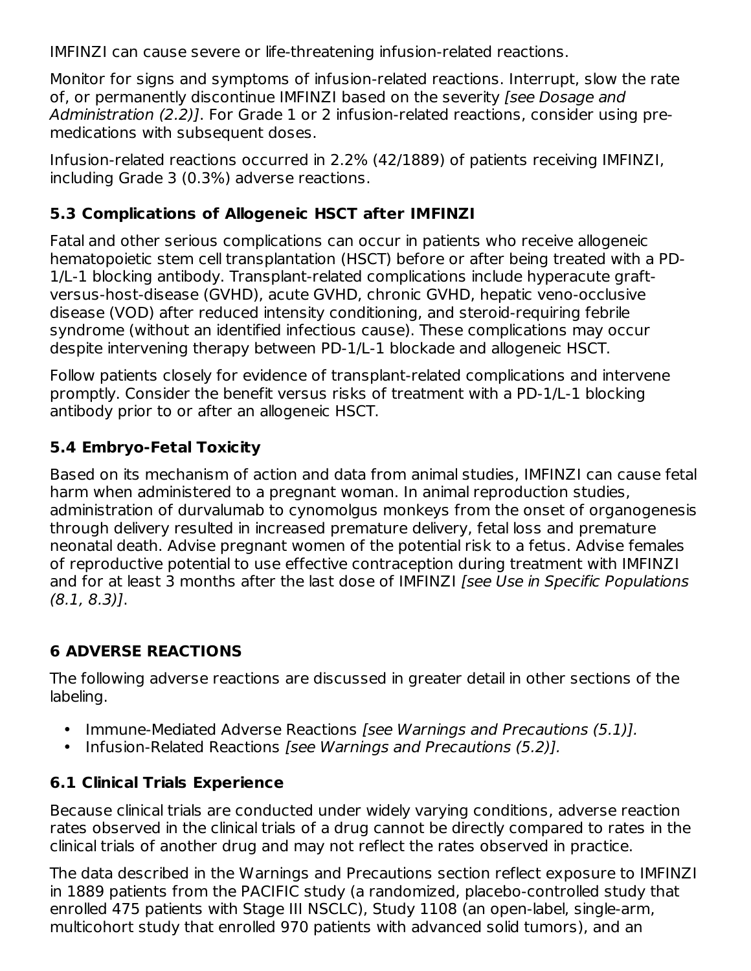IMFINZI can cause severe or life-threatening infusion-related reactions.

Monitor for signs and symptoms of infusion-related reactions. Interrupt, slow the rate of, or permanently discontinue IMFINZI based on the severity [see Dosage and Administration (2.2)]. For Grade 1 or 2 infusion-related reactions, consider using premedications with subsequent doses.

Infusion-related reactions occurred in 2.2% (42/1889) of patients receiving IMFINZI, including Grade 3 (0.3%) adverse reactions.

## **5.3 Complications of Allogeneic HSCT after IMFINZI**

Fatal and other serious complications can occur in patients who receive allogeneic hematopoietic stem cell transplantation (HSCT) before or after being treated with a PD-1/L-1 blocking antibody. Transplant-related complications include hyperacute graftversus-host-disease (GVHD), acute GVHD, chronic GVHD, hepatic veno-occlusive disease (VOD) after reduced intensity conditioning, and steroid-requiring febrile syndrome (without an identified infectious cause). These complications may occur despite intervening therapy between PD-1/L-1 blockade and allogeneic HSCT.

Follow patients closely for evidence of transplant-related complications and intervene promptly. Consider the benefit versus risks of treatment with a PD-1/L-1 blocking antibody prior to or after an allogeneic HSCT.

## **5.4 Embryo-Fetal Toxicity**

Based on its mechanism of action and data from animal studies, IMFINZI can cause fetal harm when administered to a pregnant woman. In animal reproduction studies, administration of durvalumab to cynomolgus monkeys from the onset of organogenesis through delivery resulted in increased premature delivery, fetal loss and premature neonatal death. Advise pregnant women of the potential risk to a fetus. Advise females of reproductive potential to use effective contraception during treatment with IMFINZI and for at least 3 months after the last dose of IMFINZI [see Use in Specific Populations (8.1, 8.3)].

## **6 ADVERSE REACTIONS**

The following adverse reactions are discussed in greater detail in other sections of the labeling.

- Immune-Mediated Adverse Reactions [see Warnings and Precautions (5.1)].
- Infusion-Related Reactions [see Warnings and Precautions (5.2)].

## **6.1 Clinical Trials Experience**

Because clinical trials are conducted under widely varying conditions, adverse reaction rates observed in the clinical trials of a drug cannot be directly compared to rates in the clinical trials of another drug and may not reflect the rates observed in practice.

The data described in the Warnings and Precautions section reflect exposure to IMFINZI in 1889 patients from the PACIFIC study (a randomized, placebo-controlled study that enrolled 475 patients with Stage III NSCLC), Study 1108 (an open-label, single-arm, multicohort study that enrolled 970 patients with advanced solid tumors), and an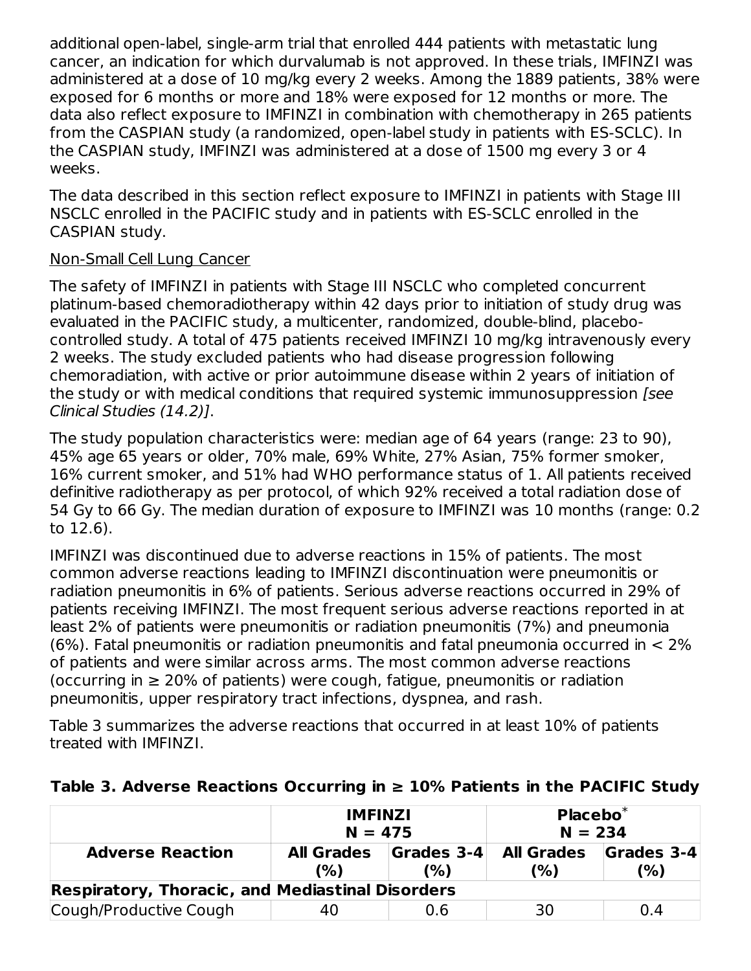additional open-label, single-arm trial that enrolled 444 patients with metastatic lung cancer, an indication for which durvalumab is not approved. In these trials, IMFINZI was administered at a dose of 10 mg/kg every 2 weeks. Among the 1889 patients, 38% were exposed for 6 months or more and 18% were exposed for 12 months or more. The data also reflect exposure to IMFINZI in combination with chemotherapy in 265 patients from the CASPIAN study (a randomized, open-label study in patients with ES-SCLC). In the CASPIAN study, IMFINZI was administered at a dose of 1500 mg every 3 or 4 weeks.

The data described in this section reflect exposure to IMFINZI in patients with Stage III NSCLC enrolled in the PACIFIC study and in patients with ES-SCLC enrolled in the CASPIAN study.

#### Non-Small Cell Lung Cancer

The safety of IMFINZI in patients with Stage III NSCLC who completed concurrent platinum-based chemoradiotherapy within 42 days prior to initiation of study drug was evaluated in the PACIFIC study, a multicenter, randomized, double-blind, placebocontrolled study. A total of 475 patients received IMFINZI 10 mg/kg intravenously every 2 weeks. The study excluded patients who had disease progression following chemoradiation, with active or prior autoimmune disease within 2 years of initiation of the study or with medical conditions that required systemic immunosuppression [see Clinical Studies (14.2)].

The study population characteristics were: median age of 64 years (range: 23 to 90), 45% age 65 years or older, 70% male, 69% White, 27% Asian, 75% former smoker, 16% current smoker, and 51% had WHO performance status of 1. All patients received definitive radiotherapy as per protocol, of which 92% received a total radiation dose of 54 Gy to 66 Gy. The median duration of exposure to IMFINZI was 10 months (range: 0.2 to 12.6).

IMFINZI was discontinued due to adverse reactions in 15% of patients. The most common adverse reactions leading to IMFINZI discontinuation were pneumonitis or radiation pneumonitis in 6% of patients. Serious adverse reactions occurred in 29% of patients receiving IMFINZI. The most frequent serious adverse reactions reported in at least 2% of patients were pneumonitis or radiation pneumonitis (7%) and pneumonia (6%). Fatal pneumonitis or radiation pneumonitis and fatal pneumonia occurred in < 2% of patients and were similar across arms. The most common adverse reactions (occurring in  $\geq$  20% of patients) were cough, fatigue, pneumonitis or radiation pneumonitis, upper respiratory tract infections, dyspnea, and rash.

Table 3 summarizes the adverse reactions that occurred in at least 10% of patients treated with IMFINZI.

|                                                         | <b>IMFINZI</b><br>$N = 475$                   |     | $Placebo*$<br>$N = 234$  |                                   |  |
|---------------------------------------------------------|-----------------------------------------------|-----|--------------------------|-----------------------------------|--|
| <b>Adverse Reaction</b>                                 | Grades 3-4<br><b>All Grades</b><br>(%)<br>(%) |     | <b>All Grades</b><br>(%) | $\vert$ Grades 3-4 $\vert$<br>(%) |  |
| <b>Respiratory, Thoracic, and Mediastinal Disorders</b> |                                               |     |                          |                                   |  |
| Cough/Productive Cough                                  | 40                                            | 0.6 | 30                       | 0.4                               |  |

## **Table 3. Adverse Reactions Occurring in ≥ 10% Patients in the PACIFIC Study**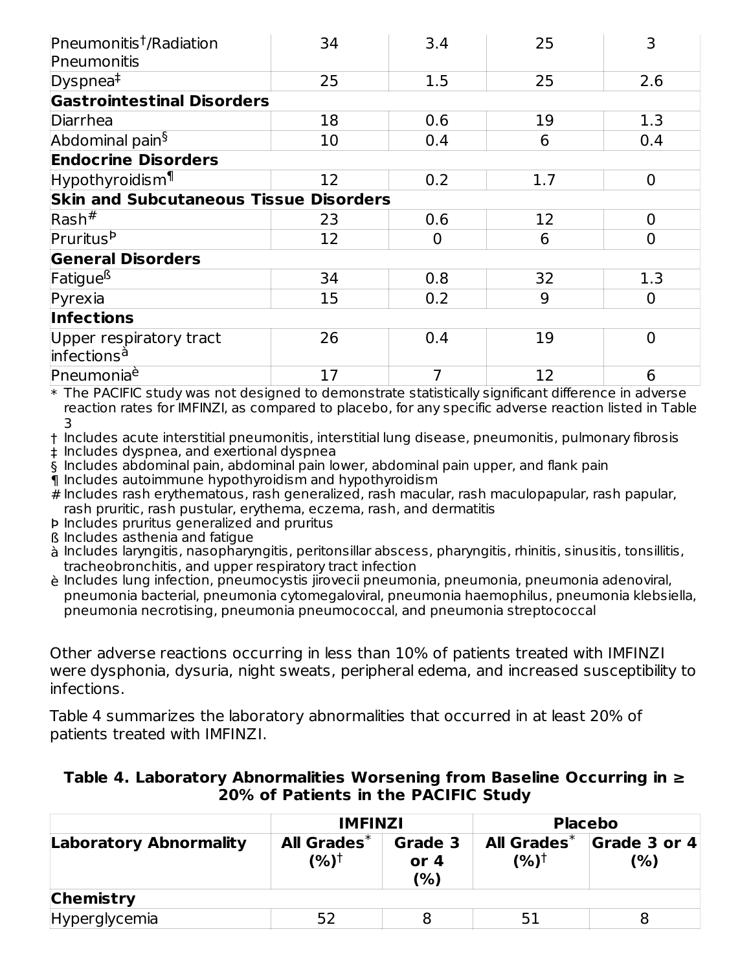| Pneumonitis <sup>†</sup> /Radiation                | 34 | 3.4            | 25  | 3              |
|----------------------------------------------------|----|----------------|-----|----------------|
| Pneumonitis                                        |    |                |     |                |
| Dyspnea $\overline{f}$                             | 25 | 1.5            | 25  | 2.6            |
| <b>Gastrointestinal Disorders</b>                  |    |                |     |                |
| Diarrhea                                           | 18 | 0.6            | 19  | 1.3            |
| Abdominal pain <sup>§</sup>                        | 10 | 0.4            | 6   | 0.4            |
| <b>Endocrine Disorders</b>                         |    |                |     |                |
| Hypothyroidism <sup>¶</sup>                        | 12 | 0.2            | 1.7 | $\overline{0}$ |
| <b>Skin and Subcutaneous Tissue Disorders</b>      |    |                |     |                |
| $Rash^{\#}$                                        | 23 | 0.6            | 12  | $\overline{0}$ |
| Pruritus <sup>b</sup>                              | 12 | $\overline{0}$ | 6   | $\overline{0}$ |
| <b>General Disorders</b>                           |    |                |     |                |
| Fatigue <sup>ß</sup>                               | 34 | 0.8            | 32  | 1.3            |
| Pyrexia                                            | 15 | 0.2            | 9   | $\overline{0}$ |
| <b>Infections</b>                                  |    |                |     |                |
| Upper respiratory tract<br>infections <sup>à</sup> | 26 | 0.4            | 19  | $\Omega$       |
| Pneumonia <sup>è</sup>                             | 17 | 7              | 12  | 6              |

 $\ast$  The PACIFIC study was not designed to demonstrate statistically significant difference in adverse reaction rates for IMFINZI, as compared to placebo, for any specific adverse reaction listed in Table 3

† Includes acute interstitial pneumonitis, interstitial lung disease, pneumonitis, pulmonary fibrosis

‡ Includes dyspnea, and exertional dyspnea

§ Includes abdominal pain, abdominal pain lower, abdominal pain upper, and flank pain

¶ Includes autoimmune hypothyroidism and hypothyroidism

# Includes rash erythematous, rash generalized, rash macular, rash maculopapular, rash papular, rash pruritic, rash pustular, erythema, eczema, rash, and dermatitis

- Þ Includes pruritus generalized and pruritus
- ß Includes asthenia and fatigue

à Includes laryngitis, nasopharyngitis, peritonsillar abscess, pharyngitis, rhinitis, sinusitis, tonsillitis, tracheobronchitis, and upper respiratory tract infection

è Includes lung infection, pneumocystis jirovecii pneumonia, pneumonia, pneumonia adenoviral, pneumonia bacterial, pneumonia cytomegaloviral, pneumonia haemophilus, pneumonia klebsiella, pneumonia necrotising, pneumonia pneumococcal, and pneumonia streptococcal

Other adverse reactions occurring in less than 10% of patients treated with IMFINZI were dysphonia, dysuria, night sweats, peripheral edema, and increased susceptibility to infections.

Table 4 summarizes the laboratory abnormalities that occurred in at least 20% of patients treated with IMFINZI.

| Table 4. Laboratory Abnormalities Worsening from Baseline Occurring in $\geq$ |
|-------------------------------------------------------------------------------|
| 20% of Patients in the PACIFIC Study                                          |

|                               | <b>IMFINZI</b>                        |                          | <b>Placebo</b>          |                     |
|-------------------------------|---------------------------------------|--------------------------|-------------------------|---------------------|
| <b>Laboratory Abnormality</b> | <b>All Grades*</b><br>$(%)^{\dagger}$ | Grade 3<br>or $4$<br>(%) | All Grades $^*$<br>(%)† | Grade 3 or 4<br>(%) |
| <b>Chemistry</b>              |                                       |                          |                         |                     |
| Hyperglycemia                 | 52                                    |                          |                         |                     |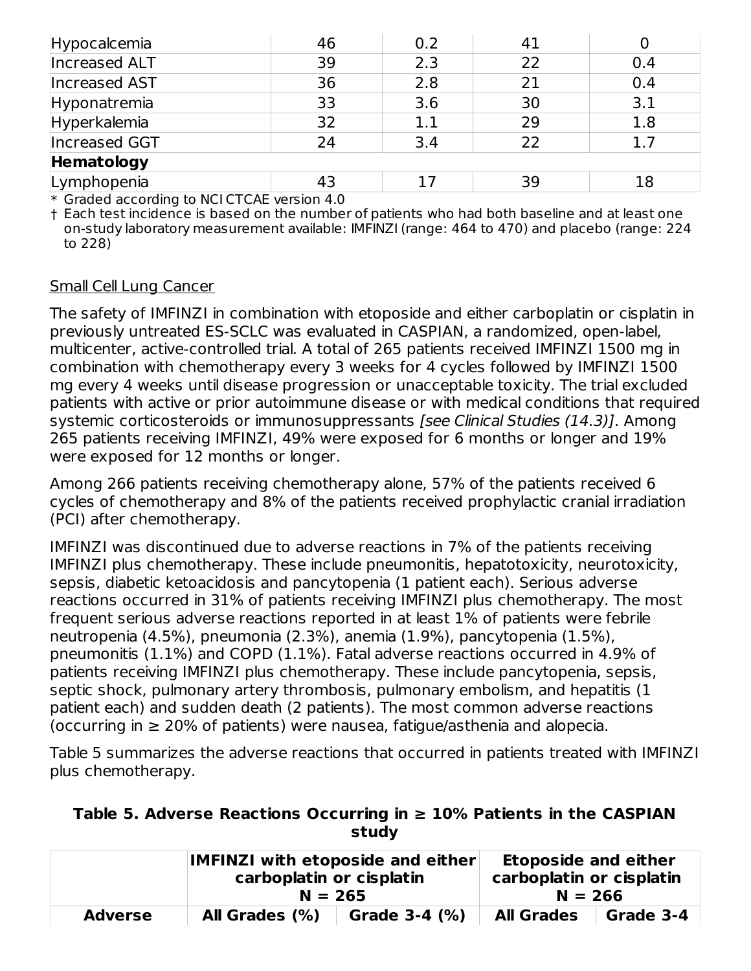| Hypocalcemia  | 46 | 0.2     | 41 |     |  |  |
|---------------|----|---------|----|-----|--|--|
| Increased ALT | 39 | 2.3     | 22 | 0.4 |  |  |
| Increased AST | 36 | 2.8     | 21 | 0.4 |  |  |
| Hyponatremia  | 33 | 3.6     | 30 | 3.1 |  |  |
| Hyperkalemia  | 32 | $1.1\,$ | 29 | 1.8 |  |  |
| Increased GGT | 24 | 3.4     | 22 | 1.7 |  |  |
| Hematology    |    |         |    |     |  |  |
| Lymphopenia   | 43 |         | 39 | 18  |  |  |

\* Graded according to NCI CTCAE version 4.0

† Each test incidence is based on the number of patients who had both baseline and at least one on-study laboratory measurement available: IMFINZI (range: 464 to 470) and placebo (range: 224 to 228)

#### Small Cell Lung Cancer

The safety of IMFINZI in combination with etoposide and either carboplatin or cisplatin in previously untreated ES-SCLC was evaluated in CASPIAN, a randomized, open-label, multicenter, active-controlled trial. A total of 265 patients received IMFINZI 1500 mg in combination with chemotherapy every 3 weeks for 4 cycles followed by IMFINZI 1500 mg every 4 weeks until disease progression or unacceptable toxicity. The trial excluded patients with active or prior autoimmune disease or with medical conditions that required systemic corticosteroids or immunosuppressants [see Clinical Studies (14.3)]. Among 265 patients receiving IMFINZI, 49% were exposed for 6 months or longer and 19% were exposed for 12 months or longer.

Among 266 patients receiving chemotherapy alone, 57% of the patients received 6 cycles of chemotherapy and 8% of the patients received prophylactic cranial irradiation (PCI) after chemotherapy.

IMFINZI was discontinued due to adverse reactions in 7% of the patients receiving IMFINZI plus chemotherapy. These include pneumonitis, hepatotoxicity, neurotoxicity, sepsis, diabetic ketoacidosis and pancytopenia (1 patient each). Serious adverse reactions occurred in 31% of patients receiving IMFINZI plus chemotherapy. The most frequent serious adverse reactions reported in at least 1% of patients were febrile neutropenia (4.5%), pneumonia (2.3%), anemia (1.9%), pancytopenia (1.5%), pneumonitis (1.1%) and COPD (1.1%). Fatal adverse reactions occurred in 4.9% of patients receiving IMFINZI plus chemotherapy. These include pancytopenia, sepsis, septic shock, pulmonary artery thrombosis, pulmonary embolism, and hepatitis (1 patient each) and sudden death (2 patients). The most common adverse reactions (occurring in  $\geq$  20% of patients) were nausea, fatigue/asthenia and alopecia.

Table 5 summarizes the adverse reactions that occurred in patients treated with IMFINZI plus chemotherapy.

| Table 5. Adverse Reactions Occurring in $\geq 10\%$ Patients in the CASPIAN |       |  |  |
|-----------------------------------------------------------------------------|-------|--|--|
|                                                                             | study |  |  |

|                | <b>IMFINZI with etoposide and either</b><br>carboplatin or cisplatin<br>$N = 265$ |               | <b>Etoposide and either</b><br>carboplatin or cisplatin<br>$N = 266$ |           |
|----------------|-----------------------------------------------------------------------------------|---------------|----------------------------------------------------------------------|-----------|
| <b>Adverse</b> | All Grades $(\%)$                                                                 | Grade 3-4 (%) | <b>All Grades</b>                                                    | Grade 3-4 |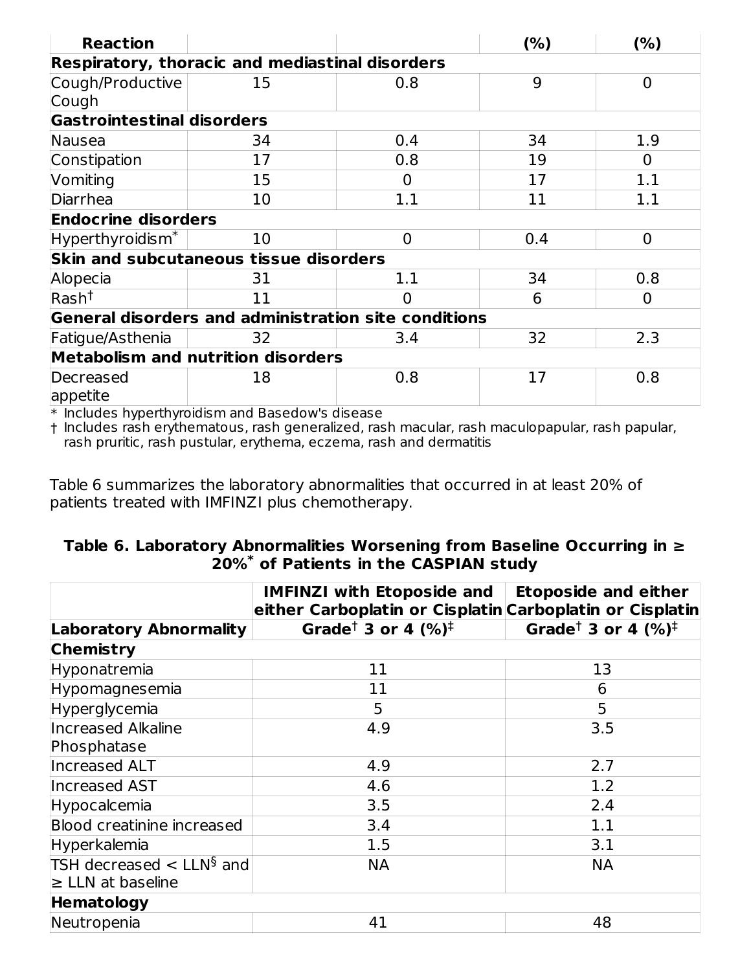| <b>Reaction</b>                                                                                                                    |                                                      |                | (%) | (%)            |  |  |  |  |  |
|------------------------------------------------------------------------------------------------------------------------------------|------------------------------------------------------|----------------|-----|----------------|--|--|--|--|--|
| <b>Respiratory, thoracic and mediastinal disorders</b>                                                                             |                                                      |                |     |                |  |  |  |  |  |
| Cough/Productive                                                                                                                   | 15                                                   | 0.8            | 9   | $\overline{0}$ |  |  |  |  |  |
| Cough                                                                                                                              |                                                      |                |     |                |  |  |  |  |  |
|                                                                                                                                    | <b>Gastrointestinal disorders</b>                    |                |     |                |  |  |  |  |  |
| Nausea                                                                                                                             | 34                                                   | 0.4            | 34  | 1.9            |  |  |  |  |  |
| Constipation                                                                                                                       | 17                                                   | 0.8            | 19  | 0              |  |  |  |  |  |
| Vomiting                                                                                                                           | 15                                                   | 0              | 17  | 1.1            |  |  |  |  |  |
| Diarrhea                                                                                                                           | 10                                                   | 1.1            | 11  | 1.1            |  |  |  |  |  |
| <b>Endocrine disorders</b>                                                                                                         |                                                      |                |     |                |  |  |  |  |  |
| Hyperthyroidism <sup>*</sup>                                                                                                       | 10                                                   | $\overline{0}$ | 0.4 | $\overline{0}$ |  |  |  |  |  |
|                                                                                                                                    | <b>Skin and subcutaneous tissue disorders</b>        |                |     |                |  |  |  |  |  |
| Alopecia                                                                                                                           | 31                                                   | 1.1            | 34  | 0.8            |  |  |  |  |  |
| Rash <sup>†</sup>                                                                                                                  | 11                                                   | O              | 6   | $\Omega$       |  |  |  |  |  |
|                                                                                                                                    | General disorders and administration site conditions |                |     |                |  |  |  |  |  |
| Fatigue/Asthenia                                                                                                                   | 32                                                   | 3.4            | 32  | 2.3            |  |  |  |  |  |
|                                                                                                                                    | <b>Metabolism and nutrition disorders</b>            |                |     |                |  |  |  |  |  |
| Decreased                                                                                                                          | 18                                                   | 0.8            | 17  | 0.8            |  |  |  |  |  |
| appetite<br><b>In the contract of the contract of the contract of the contract of the contract of the contract of the contract</b> | $\sim$<br><b>Contract Contract Contract Contract</b> |                |     |                |  |  |  |  |  |

 $\ast$  Includes hyperthyroidism and Basedow's disease

† Includes rash erythematous, rash generalized, rash macular, rash maculopapular, rash papular, rash pruritic, rash pustular, erythema, eczema, rash and dermatitis

Table 6 summarizes the laboratory abnormalities that occurred in at least 20% of patients treated with IMFINZI plus chemotherapy.

#### **Table 6. Laboratory Abnormalities Worsening from Baseline Occurring in ≥ 20% of Patients in the CASPIAN study \***

|                                                                    | <b>IMFINZI with Etoposide and</b><br>either Carboplatin or Cisplatin Carboplatin or Cisplatin | <b>Etoposide and either</b>                 |
|--------------------------------------------------------------------|-----------------------------------------------------------------------------------------------|---------------------------------------------|
| <b>Laboratory Abnormality</b>                                      | Grade <sup>†</sup> 3 or 4 $(%)^{\dagger}$                                                     | Grade <sup>†</sup> 3 or 4 $(\%)^{\ddagger}$ |
| <b>Chemistry</b>                                                   |                                                                                               |                                             |
| Hyponatremia                                                       | 11                                                                                            | 13                                          |
| Hypomagnesemia                                                     | 11                                                                                            | 6                                           |
| Hyperglycemia                                                      | 5                                                                                             | 5                                           |
| <b>Increased Alkaline</b>                                          | 4.9                                                                                           | 3.5                                         |
| Phosphatase                                                        |                                                                                               |                                             |
| Increased ALT                                                      | 4.9                                                                                           | 2.7                                         |
| <b>Increased AST</b>                                               | 4.6                                                                                           | 1.2                                         |
| Hypocalcemia                                                       | 3.5                                                                                           | 2.4                                         |
| Blood creatinine increased                                         | 3.4                                                                                           | 1.1                                         |
| Hyperkalemia                                                       | 1.5                                                                                           | 3.1                                         |
| TSH decreased $\lt$ LLN <sup>§</sup> and<br>$\geq$ LLN at baseline | <b>NA</b>                                                                                     | <b>NA</b>                                   |
| Hematology                                                         |                                                                                               |                                             |
| Neutropenia                                                        | 41                                                                                            | 48                                          |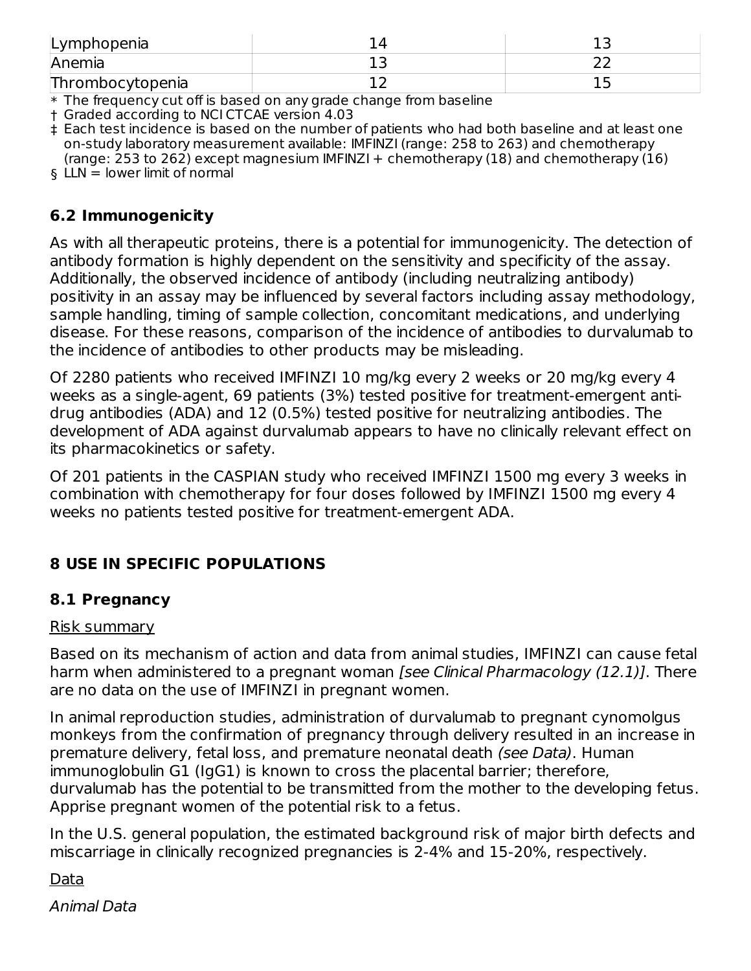| Lymphopenia      |  |
|------------------|--|
| Anemia           |  |
| Thrombocytopenia |  |

 $\ast$  The frequency cut off is based on any grade change from baseline

† Graded according to NCI CTCAE version 4.03

‡ Each test incidence is based on the number of patients who had both baseline and at least one on-study laboratory measurement available: IMFINZI (range: 258 to 263) and chemotherapy (range: 253 to 262) except magnesium IMFINZI + chemotherapy (18) and chemotherapy (16)

§ LLN = lower limit of normal

#### **6.2 Immunogenicity**

As with all therapeutic proteins, there is a potential for immunogenicity. The detection of antibody formation is highly dependent on the sensitivity and specificity of the assay. Additionally, the observed incidence of antibody (including neutralizing antibody) positivity in an assay may be influenced by several factors including assay methodology, sample handling, timing of sample collection, concomitant medications, and underlying disease. For these reasons, comparison of the incidence of antibodies to durvalumab to the incidence of antibodies to other products may be misleading.

Of 2280 patients who received IMFINZI 10 mg/kg every 2 weeks or 20 mg/kg every 4 weeks as a single-agent, 69 patients (3%) tested positive for treatment-emergent antidrug antibodies (ADA) and 12 (0.5%) tested positive for neutralizing antibodies. The development of ADA against durvalumab appears to have no clinically relevant effect on its pharmacokinetics or safety.

Of 201 patients in the CASPIAN study who received IMFINZI 1500 mg every 3 weeks in combination with chemotherapy for four doses followed by IMFINZI 1500 mg every 4 weeks no patients tested positive for treatment-emergent ADA.

## **8 USE IN SPECIFIC POPULATIONS**

## **8.1 Pregnancy**

#### Risk summary

Based on its mechanism of action and data from animal studies, IMFINZI can cause fetal harm when administered to a pregnant woman [see Clinical Pharmacology (12.1)]. There are no data on the use of IMFINZI in pregnant women.

In animal reproduction studies, administration of durvalumab to pregnant cynomolgus monkeys from the confirmation of pregnancy through delivery resulted in an increase in premature delivery, fetal loss, and premature neonatal death (see Data). Human immunoglobulin G1 (IgG1) is known to cross the placental barrier; therefore, durvalumab has the potential to be transmitted from the mother to the developing fetus. Apprise pregnant women of the potential risk to a fetus.

In the U.S. general population, the estimated background risk of major birth defects and miscarriage in clinically recognized pregnancies is 2-4% and 15-20%, respectively.

Data

Animal Data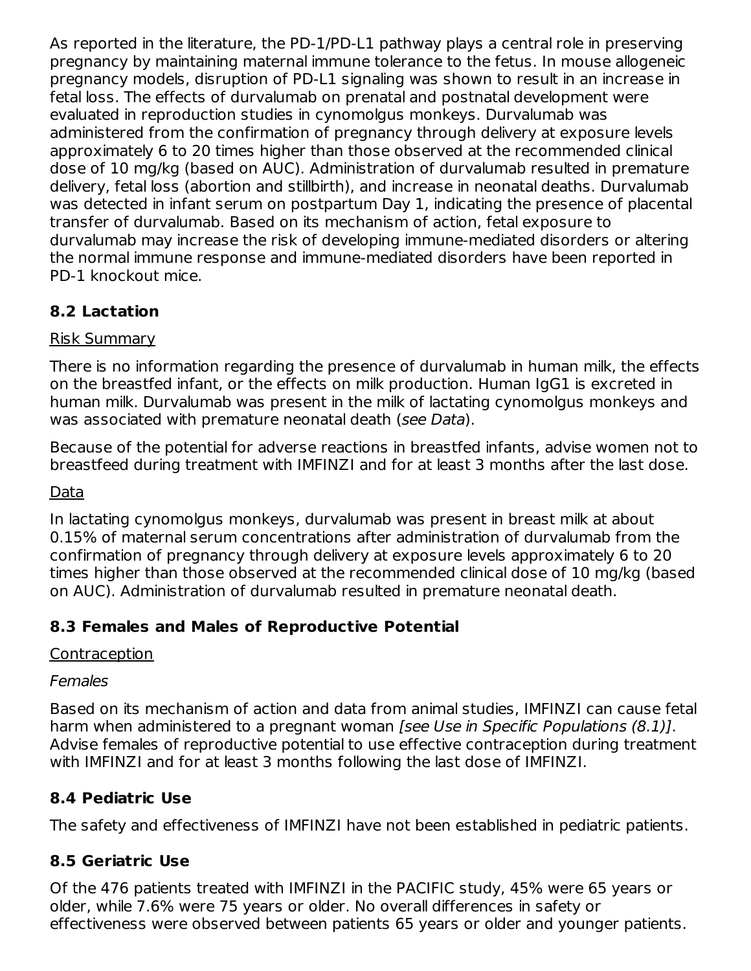As reported in the literature, the PD-1/PD-L1 pathway plays a central role in preserving pregnancy by maintaining maternal immune tolerance to the fetus. In mouse allogeneic pregnancy models, disruption of PD-L1 signaling was shown to result in an increase in fetal loss. The effects of durvalumab on prenatal and postnatal development were evaluated in reproduction studies in cynomolgus monkeys. Durvalumab was administered from the confirmation of pregnancy through delivery at exposure levels approximately 6 to 20 times higher than those observed at the recommended clinical dose of 10 mg/kg (based on AUC). Administration of durvalumab resulted in premature delivery, fetal loss (abortion and stillbirth), and increase in neonatal deaths. Durvalumab was detected in infant serum on postpartum Day 1, indicating the presence of placental transfer of durvalumab. Based on its mechanism of action, fetal exposure to durvalumab may increase the risk of developing immune-mediated disorders or altering the normal immune response and immune-mediated disorders have been reported in PD-1 knockout mice.

## **8.2 Lactation**

## Risk Summary

There is no information regarding the presence of durvalumab in human milk, the effects on the breastfed infant, or the effects on milk production. Human IgG1 is excreted in human milk. Durvalumab was present in the milk of lactating cynomolgus monkeys and was associated with premature neonatal death (see Data).

Because of the potential for adverse reactions in breastfed infants, advise women not to breastfeed during treatment with IMFINZI and for at least 3 months after the last dose.

## Data

In lactating cynomolgus monkeys, durvalumab was present in breast milk at about 0.15% of maternal serum concentrations after administration of durvalumab from the confirmation of pregnancy through delivery at exposure levels approximately 6 to 20 times higher than those observed at the recommended clinical dose of 10 mg/kg (based on AUC). Administration of durvalumab resulted in premature neonatal death.

## **8.3 Females and Males of Reproductive Potential**

## Contraception

## Females

Based on its mechanism of action and data from animal studies, IMFINZI can cause fetal harm when administered to a pregnant woman (see Use in Specific Populations (8.1). Advise females of reproductive potential to use effective contraception during treatment with IMFINZI and for at least 3 months following the last dose of IMFINZI.

## **8.4 Pediatric Use**

The safety and effectiveness of IMFINZI have not been established in pediatric patients.

## **8.5 Geriatric Use**

Of the 476 patients treated with IMFINZI in the PACIFIC study, 45% were 65 years or older, while 7.6% were 75 years or older. No overall differences in safety or effectiveness were observed between patients 65 years or older and younger patients.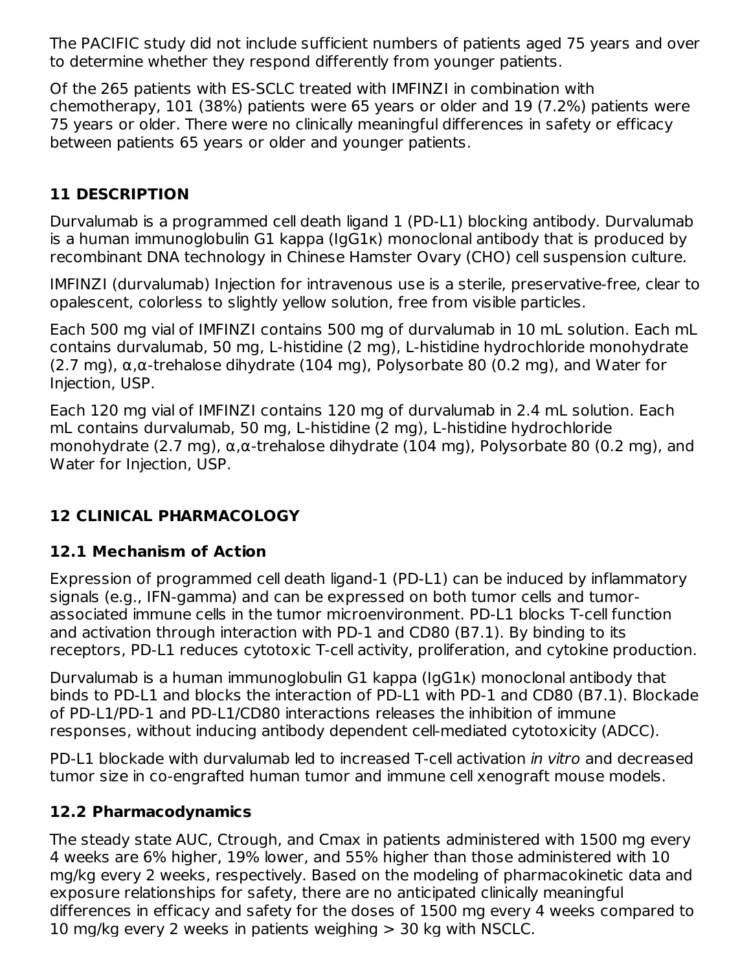The PACIFIC study did not include sufficient numbers of patients aged 75 years and over to determine whether they respond differently from younger patients.

Of the 265 patients with ES-SCLC treated with IMFINZI in combination with chemotherapy, 101 (38%) patients were 65 years or older and 19 (7.2%) patients were 75 years or older. There were no clinically meaningful differences in safety or efficacy between patients 65 years or older and younger patients.

## **11 DESCRIPTION**

Durvalumab is a programmed cell death ligand 1 (PD-L1) blocking antibody. Durvalumab is a human immunoglobulin G1 kappa (IgG1κ) monoclonal antibody that is produced by recombinant DNA technology in Chinese Hamster Ovary (CHO) cell suspension culture.

IMFINZI (durvalumab) Injection for intravenous use is a sterile, preservative-free, clear to opalescent, colorless to slightly yellow solution, free from visible particles.

Each 500 mg vial of IMFINZI contains 500 mg of durvalumab in 10 mL solution. Each mL contains durvalumab, 50 mg, L-histidine (2 mg), L-histidine hydrochloride monohydrate (2.7 mg),  $\alpha$ , $\alpha$ -trehalose dihydrate (104 mg), Polysorbate 80 (0.2 mg), and Water for Injection, USP.

Each 120 mg vial of IMFINZI contains 120 mg of durvalumab in 2.4 mL solution. Each mL contains durvalumab, 50 mg, L-histidine (2 mg), L-histidine hydrochloride monohydrate (2.7 mg), α,α-trehalose dihydrate (104 mg), Polysorbate 80 (0.2 mg), and Water for Injection, USP.

## **12 CLINICAL PHARMACOLOGY**

## **12.1 Mechanism of Action**

Expression of programmed cell death ligand-1 (PD-L1) can be induced by inflammatory signals (e.g., IFN-gamma) and can be expressed on both tumor cells and tumorassociated immune cells in the tumor microenvironment. PD-L1 blocks T-cell function and activation through interaction with PD-1 and CD80 (B7.1). By binding to its receptors, PD-L1 reduces cytotoxic T-cell activity, proliferation, and cytokine production.

Durvalumab is a human immunoglobulin G1 kappa (IgG1κ) monoclonal antibody that binds to PD-L1 and blocks the interaction of PD-L1 with PD-1 and CD80 (B7.1). Blockade of PD-L1/PD-1 and PD-L1/CD80 interactions releases the inhibition of immune responses, without inducing antibody dependent cell-mediated cytotoxicity (ADCC).

PD-L1 blockade with durvalumab led to increased T-cell activation in vitro and decreased tumor size in co-engrafted human tumor and immune cell xenograft mouse models.

## **12.2 Pharmacodynamics**

The steady state AUC, Ctrough, and Cmax in patients administered with 1500 mg every 4 weeks are 6% higher, 19% lower, and 55% higher than those administered with 10 mg/kg every 2 weeks, respectively. Based on the modeling of pharmacokinetic data and exposure relationships for safety, there are no anticipated clinically meaningful differences in efficacy and safety for the doses of 1500 mg every 4 weeks compared to 10 mg/kg every 2 weeks in patients weighing > 30 kg with NSCLC.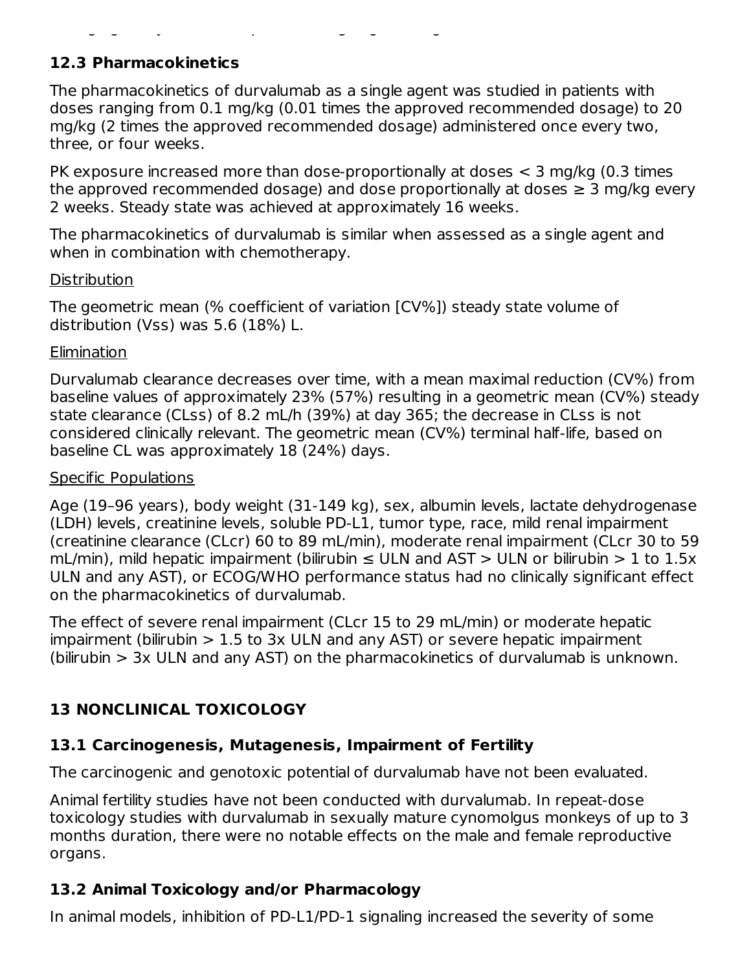## **12.3 Pharmacokinetics**

The pharmacokinetics of durvalumab as a single agent was studied in patients with doses ranging from 0.1 mg/kg (0.01 times the approved recommended dosage) to 20 mg/kg (2 times the approved recommended dosage) administered once every two, three, or four weeks.

10 mg/kg every 2 weeks in patients weighing > 30 kg with NSCLC.

PK exposure increased more than dose-proportionally at doses < 3 mg/kg (0.3 times the approved recommended dosage) and dose proportionally at doses  $\geq 3$  mg/kg every 2 weeks. Steady state was achieved at approximately 16 weeks.

The pharmacokinetics of durvalumab is similar when assessed as a single agent and when in combination with chemotherapy.

#### **Distribution**

The geometric mean (% coefficient of variation [CV%]) steady state volume of distribution (Vss) was 5.6 (18%) L.

#### Elimination

Durvalumab clearance decreases over time, with a mean maximal reduction (CV%) from baseline values of approximately 23% (57%) resulting in a geometric mean (CV%) steady state clearance (CLss) of 8.2 mL/h (39%) at day 365; the decrease in CLss is not considered clinically relevant. The geometric mean (CV%) terminal half-life, based on baseline CL was approximately 18 (24%) days.

#### Specific Populations

Age (19–96 years), body weight (31-149 kg), sex, albumin levels, lactate dehydrogenase (LDH) levels, creatinine levels, soluble PD-L1, tumor type, race, mild renal impairment (creatinine clearance (CLcr) 60 to 89 mL/min), moderate renal impairment (CLcr 30 to 59 mL/min), mild hepatic impairment (bilirubin  $\leq$  ULN and AST  $>$  ULN or bilirubin  $>$  1 to 1.5x ULN and any AST), or ECOG/WHO performance status had no clinically significant effect on the pharmacokinetics of durvalumab.

The effect of severe renal impairment (CLcr 15 to 29 mL/min) or moderate hepatic impairment (bilirubin  $> 1.5$  to 3x ULN and any AST) or severe hepatic impairment (bilirubin > 3x ULN and any AST) on the pharmacokinetics of durvalumab is unknown.

## **13 NONCLINICAL TOXICOLOGY**

## **13.1 Carcinogenesis, Mutagenesis, Impairment of Fertility**

The carcinogenic and genotoxic potential of durvalumab have not been evaluated.

Animal fertility studies have not been conducted with durvalumab. In repeat-dose toxicology studies with durvalumab in sexually mature cynomolgus monkeys of up to 3 months duration, there were no notable effects on the male and female reproductive organs.

## **13.2 Animal Toxicology and/or Pharmacology**

In animal models, inhibition of PD-L1/PD-1 signaling increased the severity of some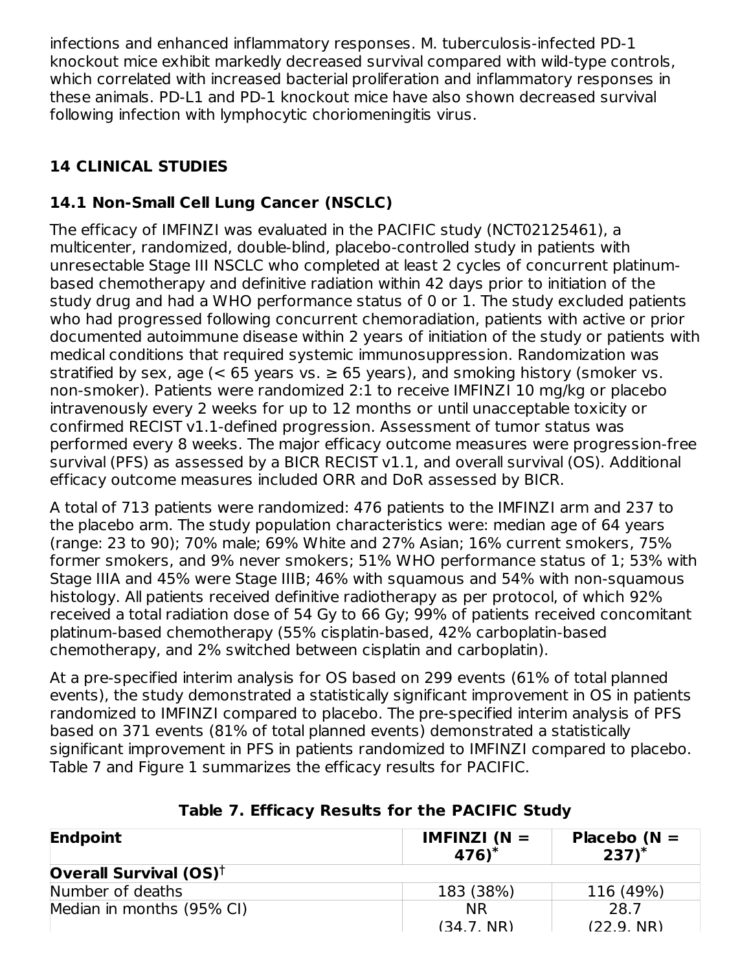infections and enhanced inflammatory responses. M. tuberculosis-infected PD-1 knockout mice exhibit markedly decreased survival compared with wild-type controls, which correlated with increased bacterial proliferation and inflammatory responses in these animals. PD-L1 and PD-1 knockout mice have also shown decreased survival following infection with lymphocytic choriomeningitis virus.

# **14 CLINICAL STUDIES**

# **14.1 Non-Small Cell Lung Cancer (NSCLC)**

The efficacy of IMFINZI was evaluated in the PACIFIC study (NCT02125461), a multicenter, randomized, double-blind, placebo-controlled study in patients with unresectable Stage III NSCLC who completed at least 2 cycles of concurrent platinumbased chemotherapy and definitive radiation within 42 days prior to initiation of the study drug and had a WHO performance status of 0 or 1. The study excluded patients who had progressed following concurrent chemoradiation, patients with active or prior documented autoimmune disease within 2 years of initiation of the study or patients with medical conditions that required systemic immunosuppression. Randomization was stratified by sex, age  $\leq 65$  years vs.  $\geq 65$  years), and smoking history (smoker vs. non-smoker). Patients were randomized 2:1 to receive IMFINZI 10 mg/kg or placebo intravenously every 2 weeks for up to 12 months or until unacceptable toxicity or confirmed RECIST v1.1-defined progression. Assessment of tumor status was performed every 8 weeks. The major efficacy outcome measures were progression-free survival (PFS) as assessed by a BICR RECIST v1.1, and overall survival (OS). Additional efficacy outcome measures included ORR and DoR assessed by BICR.

A total of 713 patients were randomized: 476 patients to the IMFINZI arm and 237 to the placebo arm. The study population characteristics were: median age of 64 years (range: 23 to 90); 70% male; 69% White and 27% Asian; 16% current smokers, 75% former smokers, and 9% never smokers; 51% WHO performance status of 1; 53% with Stage IIIA and 45% were Stage IIIB; 46% with squamous and 54% with non-squamous histology. All patients received definitive radiotherapy as per protocol, of which 92% received a total radiation dose of 54 Gy to 66 Gy; 99% of patients received concomitant platinum-based chemotherapy (55% cisplatin-based, 42% carboplatin-based chemotherapy, and 2% switched between cisplatin and carboplatin).

At a pre-specified interim analysis for OS based on 299 events (61% of total planned events), the study demonstrated a statistically significant improvement in OS in patients randomized to IMFINZI compared to placebo. The pre-specified interim analysis of PFS based on 371 events (81% of total planned events) demonstrated a statistically significant improvement in PFS in patients randomized to IMFINZI compared to placebo. Table 7 and Figure 1 summarizes the efficacy results for PACIFIC.

| Endpoint                                                    | <b>IMFINZI</b> ( $N =$<br>$476$ <sup>*</sup> | Placebo $(N =$<br>$237)^*$ |
|-------------------------------------------------------------|----------------------------------------------|----------------------------|
| <b>Overall Survival (OS)<sup><math>\dagger</math></sup></b> |                                              |                            |
| Number of deaths                                            | 183 (38%)                                    | 116 (49%)                  |
| Median in months (95% CI)                                   | <b>NR</b>                                    | 28.7                       |
|                                                             | (34.7. NR)                                   | $(22.9 \text{ NR})$        |

## **Table 7. Efficacy Results for the PACIFIC Study**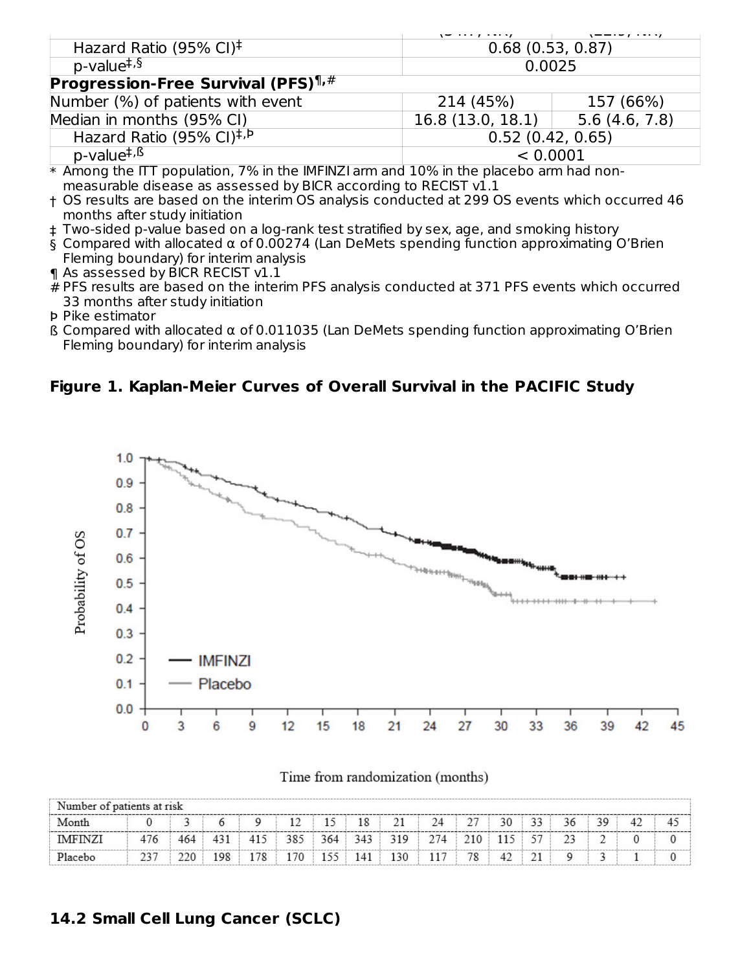|                                                         | \ <del>~</del> <i>. . ,</i> | \ — — · — ,   · • · ·/ |  |  |  |
|---------------------------------------------------------|-----------------------------|------------------------|--|--|--|
| Hazard Ratio (95% CI) <sup><math>\ddagger</math></sup>  | 0.68(0.53, 0.87)            |                        |  |  |  |
| p-value <sup>‡,§</sup>                                  | 0.0025                      |                        |  |  |  |
| <b>Progression-Free Survival (PFS)</b> $\mathbb{I}$ , # |                             |                        |  |  |  |
| Number (%) of patients with event                       | 214 (45%)                   | 157 (66%)              |  |  |  |
| Median in months (95% CI)                               | 16.8 (13.0, 18.1)           | 5.6(4.6, 7.8)          |  |  |  |
| Hazard Ratio (95% CI) <sup>‡, P</sup>                   | 0.52(0.42, 0.65)            |                        |  |  |  |
| p-value <sup>‡, ß</sup>                                 | < 0.0001                    |                        |  |  |  |

 $\,^*$  Among the ITT population, 7% in the IMFINZI arm and  $10\%$  in the placebo arm had nonmeasurable disease as assessed by BICR according to RECIST v1.1

- † OS results are based on the interim OS analysis conducted at 299 OS events which occurred 46 months after study initiation
- ‡ Two-sided p-value based on a log-rank test stratified by sex, age, and smoking history
- § Compared with allocated α of 0.00274 (Lan DeMets spending function approximating O'Brien Fleming boundary) for interim analysis
- ¶ As assessed by BICR RECIST v1.1
- # PFS results are based on the interim PFS analysis conducted at 371 PFS events which occurred 33 months after study initiation
- Þ Pike estimator
- ß Compared with allocated α of 0.011035 (Lan DeMets spending function approximating O'Brien Fleming boundary) for interim analysis

#### **Figure 1. Kaplan-Meier Curves of Overall Survival in the PACIFIC Study**



| Number of patients at risk |     |      |     |     |     |     |     |     |     |         |    |    |        |    |    |  |
|----------------------------|-----|------|-----|-----|-----|-----|-----|-----|-----|---------|----|----|--------|----|----|--|
| Month                      |     |      |     |     | 12  | 15  | 18  | 21  | 24  | 27      | 30 | 33 | 36     | 39 | 42 |  |
| <b>IMFINZI</b>             | 476 | 464  | 431 | 415 | 385 | 364 | 343 | 319 | 274 | . 210 ' |    | 57 | $\sim$ |    |    |  |
| Placebo                    |     | 220. | 198 | 178 | 170 | 155 | 141 | 130 | 117 | 78      | 42 |    |        |    |    |  |

Time from randomization (months)

## **14.2 Small Cell Lung Cancer (SCLC)**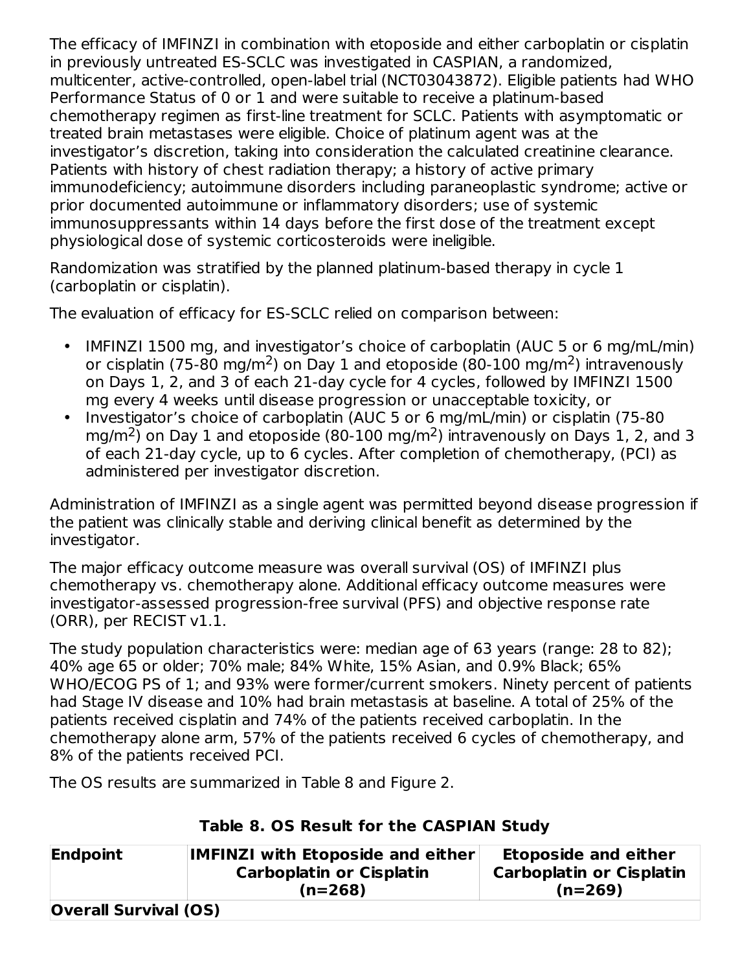The efficacy of IMFINZI in combination with etoposide and either carboplatin or cisplatin in previously untreated ES-SCLC was investigated in CASPIAN, a randomized, multicenter, active-controlled, open-label trial (NCT03043872). Eligible patients had WHO Performance Status of 0 or 1 and were suitable to receive a platinum-based chemotherapy regimen as first-line treatment for SCLC. Patients with asymptomatic or treated brain metastases were eligible. Choice of platinum agent was at the investigator's discretion, taking into consideration the calculated creatinine clearance. Patients with history of chest radiation therapy; a history of active primary immunodeficiency; autoimmune disorders including paraneoplastic syndrome; active or prior documented autoimmune or inflammatory disorders; use of systemic immunosuppressants within 14 days before the first dose of the treatment except physiological dose of systemic corticosteroids were ineligible.

Randomization was stratified by the planned platinum-based therapy in cycle 1 (carboplatin or cisplatin).

The evaluation of efficacy for ES-SCLC relied on comparison between:

- $\bullet$ IMFINZI 1500 mg, and investigator's choice of carboplatin (AUC 5 or 6 mg/mL/min) or cisplatin (75-80 mg/m<sup>2</sup>) on Day 1 and etoposide (80-100 mg/m<sup>2</sup>) intravenously on Days 1, 2, and 3 of each 21-day cycle for 4 cycles, followed by IMFINZI 1500 mg every 4 weeks until disease progression or unacceptable toxicity, or
- Investigator's choice of carboplatin (AUC 5 or 6 mg/mL/min) or cisplatin (75-80 mg/m<sup>2</sup>) on Day 1 and etoposide (80-100 mg/m<sup>2</sup>) intravenously on Days 1, 2, and 3 of each 21-day cycle, up to 6 cycles. After completion of chemotherapy, (PCI) as administered per investigator discretion.

Administration of IMFINZI as a single agent was permitted beyond disease progression if the patient was clinically stable and deriving clinical benefit as determined by the investigator.

The major efficacy outcome measure was overall survival (OS) of IMFINZI plus chemotherapy vs. chemotherapy alone. Additional efficacy outcome measures were investigator-assessed progression-free survival (PFS) and objective response rate (ORR), per RECIST v1.1.

The study population characteristics were: median age of 63 years (range: 28 to 82); 40% age 65 or older; 70% male; 84% White, 15% Asian, and 0.9% Black; 65% WHO/ECOG PS of 1; and 93% were former/current smokers. Ninety percent of patients had Stage IV disease and 10% had brain metastasis at baseline. A total of 25% of the patients received cisplatin and 74% of the patients received carboplatin. In the chemotherapy alone arm, 57% of the patients received 6 cycles of chemotherapy, and 8% of the patients received PCI.

The OS results are summarized in Table 8 and Figure 2.

## **Table 8. OS Result for the CASPIAN Study**

| Endpoint                     | <b>IMFINZI with Etoposide and either</b><br><b>Carboplatin or Cisplatin</b> | <b>Etoposide and either</b><br><b>Carboplatin or Cisplatin</b> |  |  |
|------------------------------|-----------------------------------------------------------------------------|----------------------------------------------------------------|--|--|
|                              | $(n=268)$                                                                   | $(n=269)$                                                      |  |  |
| <b>Overall Survival (OS)</b> |                                                                             |                                                                |  |  |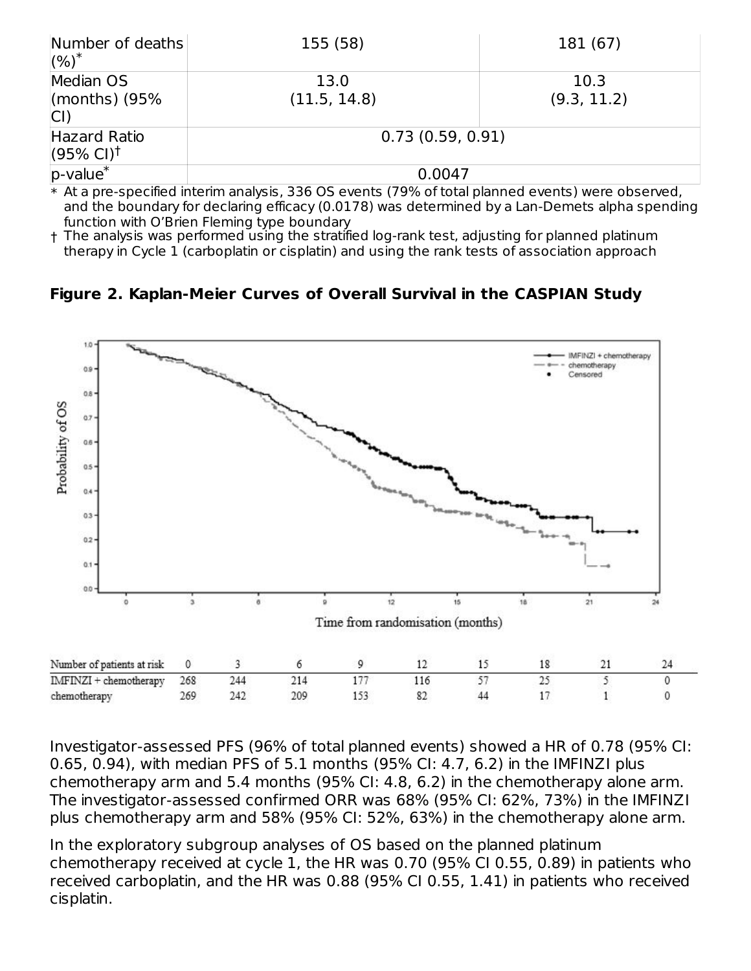| Number of deaths<br>$(%)^*$                                               | 155 (58)                                                                                                                                                                                                                                                                                                                 | 181 (67)            |  |  |  |
|---------------------------------------------------------------------------|--------------------------------------------------------------------------------------------------------------------------------------------------------------------------------------------------------------------------------------------------------------------------------------------------------------------------|---------------------|--|--|--|
| Median OS<br>(months) $(95%$<br> CI                                       | 13.0<br>(11.5, 14.8)                                                                                                                                                                                                                                                                                                     | 10.3<br>(9.3, 11.2) |  |  |  |
| Hazard Ratio<br>$(95\% \text{ Cl})^{\dagger}$                             | 0.73(0.59, 0.91)                                                                                                                                                                                                                                                                                                         |                     |  |  |  |
| $ p$ -value <sup>*</sup><br><b>CONTRACT CONTRACT CONTRACT AND INCOME.</b> | 0.0047<br>$\mathcal{L}$ , the state of $\mathcal{L}$ and $\mathcal{L}$ and $\mathcal{L}$ and $\mathcal{L}$ and $\mathcal{L}$ and $\mathcal{L}$ and $\mathcal{L}$ and $\mathcal{L}$ and $\mathcal{L}$ and $\mathcal{L}$ and $\mathcal{L}$ and $\mathcal{L}$ and $\mathcal{L}$ and $\mathcal{L}$ and $\mathcal{L}$ and $\$ |                     |  |  |  |

\* At a pre-specified interim analysis, 336 OS events (79% of total planned events) were observed, and the boundary for declaring efficacy (0.0178) was determined by a Lan-Demets alpha spending function with O'Brien Fleming type boundary

† The analysis was performed using the stratified log-rank test, adjusting for planned platinum therapy in Cycle 1 (carboplatin or cisplatin) and using the rank tests of association approach

**Figure 2. Kaplan-Meier Curves of Overall Survival in the CASPIAN Study**



Investigator-assessed PFS (96% of total planned events) showed a HR of 0.78 (95% CI: 0.65, 0.94), with median PFS of 5.1 months (95% CI: 4.7, 6.2) in the IMFINZI plus chemotherapy arm and 5.4 months (95% CI: 4.8, 6.2) in the chemotherapy alone arm. The investigator-assessed confirmed ORR was 68% (95% CI: 62%, 73%) in the IMFINZI plus chemotherapy arm and 58% (95% CI: 52%, 63%) in the chemotherapy alone arm.

In the exploratory subgroup analyses of OS based on the planned platinum chemotherapy received at cycle 1, the HR was 0.70 (95% CI 0.55, 0.89) in patients who received carboplatin, and the HR was 0.88 (95% CI 0.55, 1.41) in patients who received cisplatin.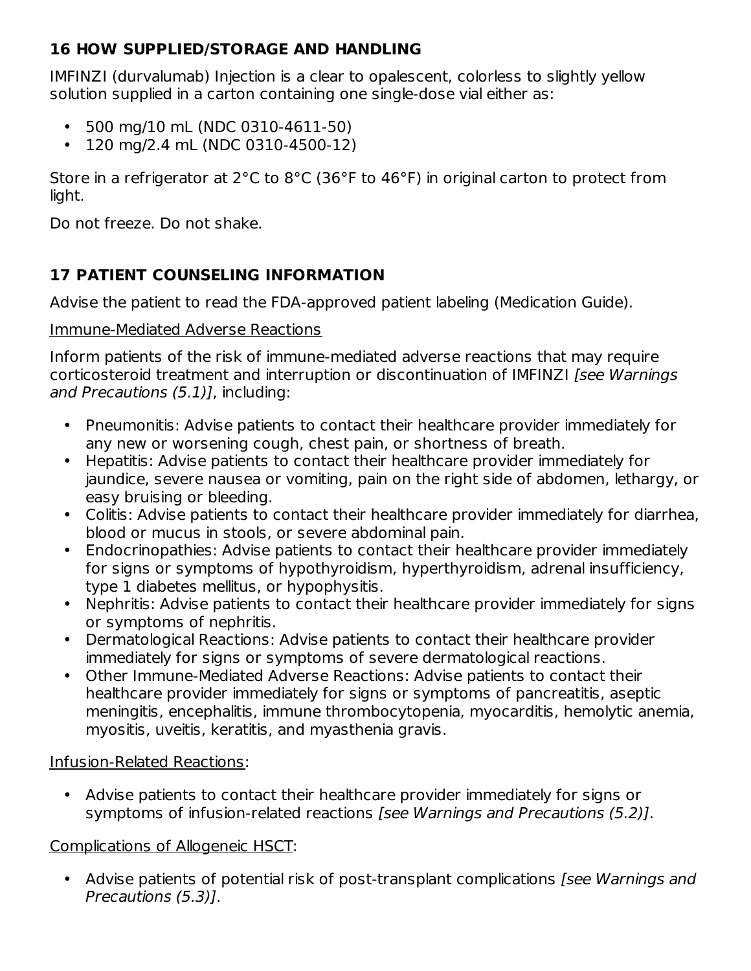## **16 HOW SUPPLIED/STORAGE AND HANDLING**

IMFINZI (durvalumab) Injection is a clear to opalescent, colorless to slightly yellow solution supplied in a carton containing one single-dose vial either as:

- 500 mg/10 mL (NDC 0310-4611-50)
- 120 mg/2.4 mL (NDC 0310-4500-12)

Store in a refrigerator at 2°C to 8°C (36°F to 46°F) in original carton to protect from light.

Do not freeze. Do not shake.

## **17 PATIENT COUNSELING INFORMATION**

Advise the patient to read the FDA-approved patient labeling (Medication Guide).

## Immune-Mediated Adverse Reactions

Inform patients of the risk of immune-mediated adverse reactions that may require corticosteroid treatment and interruption or discontinuation of IMFINZI [see Warnings] and Precautions (5.1)], including:

- Pneumonitis: Advise patients to contact their healthcare provider immediately for any new or worsening cough, chest pain, or shortness of breath.
- Hepatitis: Advise patients to contact their healthcare provider immediately for jaundice, severe nausea or vomiting, pain on the right side of abdomen, lethargy, or easy bruising or bleeding.
- Colitis: Advise patients to contact their healthcare provider immediately for diarrhea, blood or mucus in stools, or severe abdominal pain.
- Endocrinopathies: Advise patients to contact their healthcare provider immediately for signs or symptoms of hypothyroidism, hyperthyroidism, adrenal insufficiency, type 1 diabetes mellitus, or hypophysitis.
- Nephritis: Advise patients to contact their healthcare provider immediately for signs or symptoms of nephritis.
- Dermatological Reactions: Advise patients to contact their healthcare provider immediately for signs or symptoms of severe dermatological reactions.
- Other Immune-Mediated Adverse Reactions: Advise patients to contact their healthcare provider immediately for signs or symptoms of pancreatitis, aseptic meningitis, encephalitis, immune thrombocytopenia, myocarditis, hemolytic anemia, myositis, uveitis, keratitis, and myasthenia gravis.

Infusion-Related Reactions:

• Advise patients to contact their healthcare provider immediately for signs or symptoms of infusion-related reactions [see Warnings and Precautions (5.2)].

## Complications of Allogeneic HSCT:

• Advise patients of potential risk of post-transplant complications [see Warnings and Precautions (5.3)].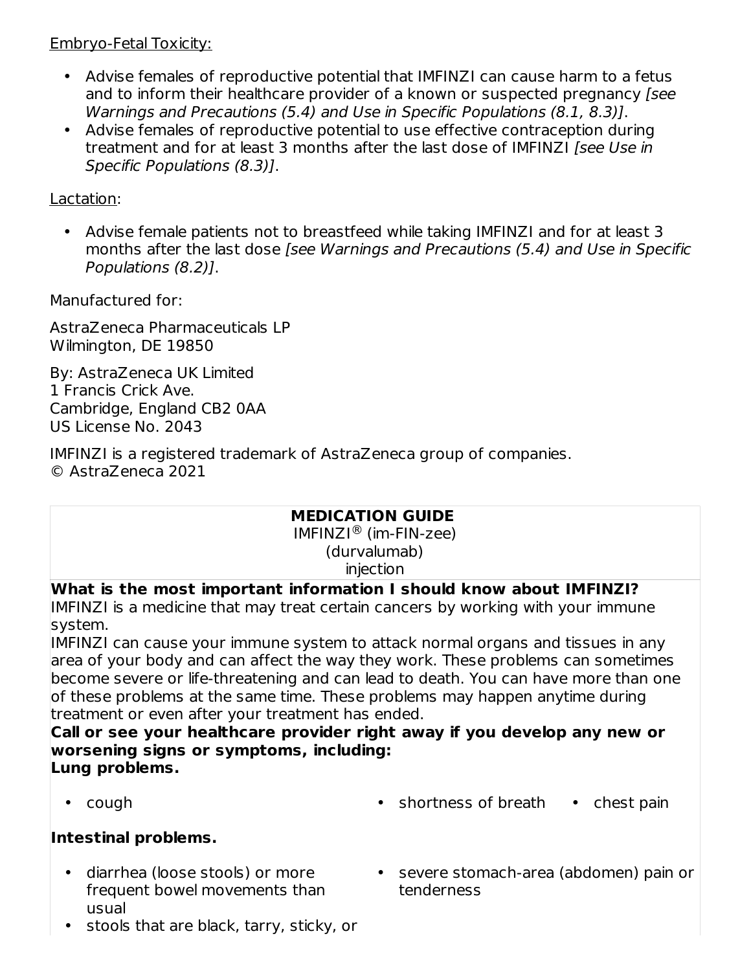#### Embryo-Fetal Toxicity:

- Advise females of reproductive potential that IMFINZI can cause harm to a fetus and to inform their healthcare provider of a known or suspected pregnancy [see Warnings and Precautions (5.4) and Use in Specific Populations (8.1, 8.3)].
- Advise females of reproductive potential to use effective contraception during treatment and for at least 3 months after the last dose of IMFINZI [see Use in Specific Populations (8.3)].

Lactation:

• Advise female patients not to breastfeed while taking IMFINZI and for at least 3 months after the last dose [see Warnings and Precautions (5.4) and Use in Specific Populations (8.2)].

Manufactured for:

AstraZeneca Pharmaceuticals LP Wilmington, DE 19850

By: AstraZeneca UK Limited 1 Francis Crick Ave. Cambridge, England CB2 0AA US License No. 2043

IMFINZI is a registered trademark of AstraZeneca group of companies. © AstraZeneca 2021

## **MEDICATION GUIDE**

 $IMFINZI<sup>®</sup>$  (im-FIN-zee) (durvalumab) injection

**What is the most important information I should know about IMFINZI?**

IMFINZI is a medicine that may treat certain cancers by working with your immune system.

IMFINZI can cause your immune system to attack normal organs and tissues in any area of your body and can affect the way they work. These problems can sometimes become severe or life-threatening and can lead to death. You can have more than one of these problems at the same time. These problems may happen anytime during treatment or even after your treatment has ended.

**Call or see your healthcare provider right away if you develop any new or worsening signs or symptoms, including: Lung problems.**

•

• cough **shortness of breath** • chest pain

## **Intestinal problems.**

- diarrhea (loose stools) or more frequent bowel movements than usual
	- stools that are black, tarry, sticky, or
- severe stomach-area (abdomen) pain or tenderness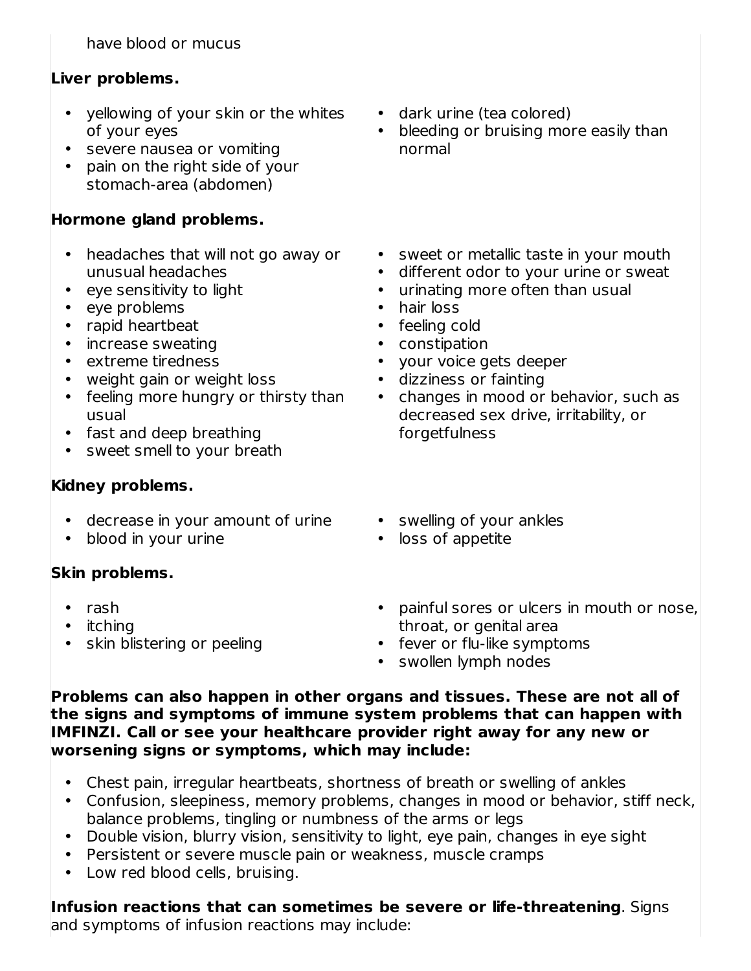have blood or mucus

## **Liver problems.**

- yellowing of your skin or the whites of your eyes
- severe nausea or vomiting
- pain on the right side of your stomach-area (abdomen)

## **Hormone gland problems.**

- headaches that will not go away or unusual headaches
- eye sensitivity to light
- eye problems
- rapid heartbeat
- increase sweating
- extreme tiredness
- weight gain or weight loss
- feeling more hungry or thirsty than usual
- fast and deep breathing
- sweet smell to your breath

## **Kidney problems.**

- decrease in your amount of urine
- blood in your urine

## **Skin problems.**

- rash
- itching
- skin blistering or peeling
- dark urine (tea colored)
- bleeding or bruising more easily than normal
- sweet or metallic taste in your mouth
- different odor to your urine or sweat
- urinating more often than usual
- hair loss
- feeling cold
- constipation
- your voice gets deeper
- dizziness or fainting
- changes in mood or behavior, such as decreased sex drive, irritability, or forgetfulness
- swelling of your ankles
- loss of appetite
- painful sores or ulcers in mouth or nose, throat, or genital area
- fever or flu-like symptoms
- swollen lymph nodes

**Problems can also happen in other organs and tissues. These are not all of the signs and symptoms of immune system problems that can happen with IMFINZI. Call or see your healthcare provider right away for any new or worsening signs or symptoms, which may include:**

- Chest pain, irregular heartbeats, shortness of breath or swelling of ankles
- Confusion, sleepiness, memory problems, changes in mood or behavior, stiff neck, balance problems, tingling or numbness of the arms or legs
- Double vision, blurry vision, sensitivity to light, eye pain, changes in eye sight
- Persistent or severe muscle pain or weakness, muscle cramps
- Low red blood cells, bruising.

#### **Infusion reactions that can sometimes be severe or life-threatening**. Signs and symptoms of infusion reactions may include: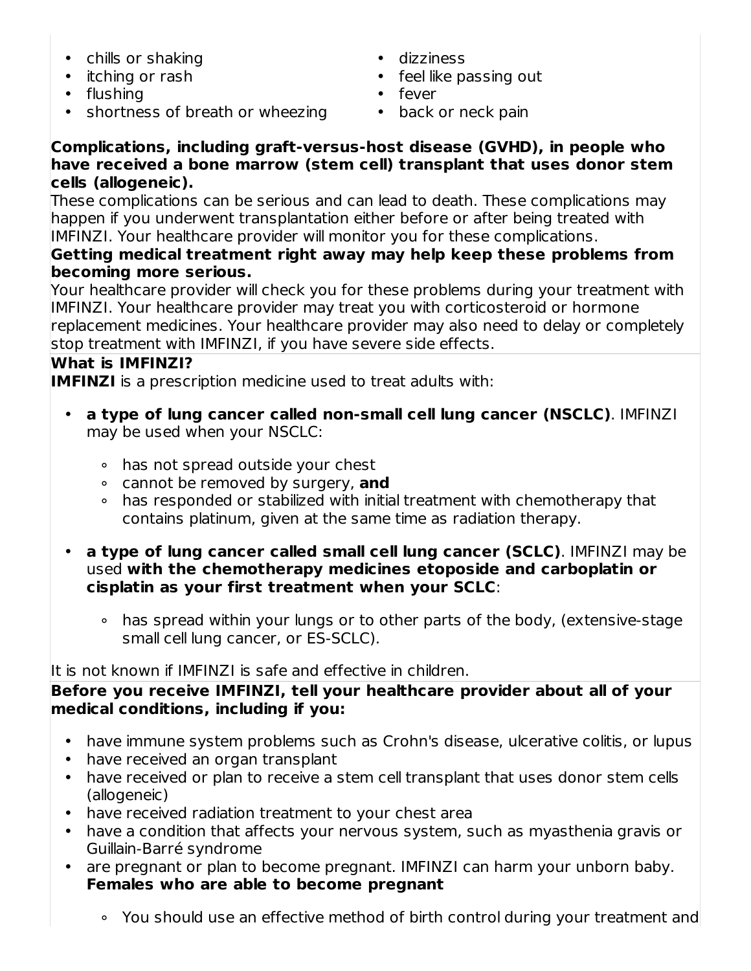- chills or shaking
- itching or rash
- flushing
- shortness of breath or wheezing
- dizziness
- feel like passing out
- fever
- back or neck pain

#### **Complications, including graft-versus-host disease (GVHD), in people who have received a bone marrow (stem cell) transplant that uses donor stem cells (allogeneic).**

These complications can be serious and can lead to death. These complications may happen if you underwent transplantation either before or after being treated with IMFINZI. Your healthcare provider will monitor you for these complications.

## **Getting medical treatment right away may help keep these problems from becoming more serious.**

Your healthcare provider will check you for these problems during your treatment with IMFINZI. Your healthcare provider may treat you with corticosteroid or hormone replacement medicines. Your healthcare provider may also need to delay or completely stop treatment with IMFINZI, if you have severe side effects.

## **What is IMFINZI?**

**IMFINZI** is a prescription medicine used to treat adults with:

- **a type of lung cancer called non-small cell lung cancer (NSCLC)**. IMFINZI may be used when your NSCLC:
	- ∘ has not spread outside your chest
	- ∘ cannot be removed by surgery, **and**
	- ∘ has responded or stabilized with initial treatment with chemotherapy that contains platinum, given at the same time as radiation therapy.
- **a type of lung cancer called small cell lung cancer (SCLC)**. IMFINZI may be used **with the chemotherapy medicines etoposide and carboplatin or cisplatin as your first treatment when your SCLC**:
	- ∘ has spread within your lungs or to other parts of the body, (extensive-stage small cell lung cancer, or ES-SCLC).

## It is not known if IMFINZI is safe and effective in children.

## **Before you receive IMFINZI, tell your healthcare provider about all of your medical conditions, including if you:**

- have immune system problems such as Crohn's disease, ulcerative colitis, or lupus
- have received an organ transplant
- have received or plan to receive a stem cell transplant that uses donor stem cells (allogeneic)
- have received radiation treatment to your chest area
- have a condition that affects your nervous system, such as myasthenia gravis or Guillain-Barré syndrome
- are pregnant or plan to become pregnant. IMFINZI can harm your unborn baby. **Females who are able to become pregnant**
	- ∘ You should use an effective method of birth control during your treatment and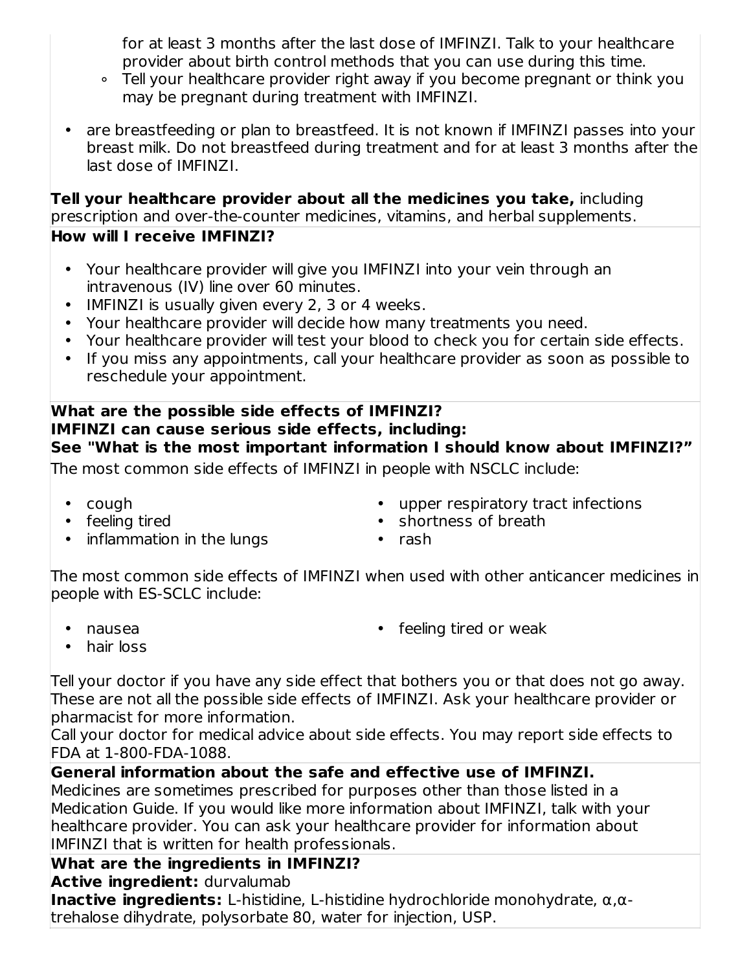for at least 3 months after the last dose of IMFINZI. Talk to your healthcare provider about birth control methods that you can use during this time.

- ∘ Tell your healthcare provider right away if you become pregnant or think you may be pregnant during treatment with IMFINZI.
- are breastfeeding or plan to breastfeed. It is not known if IMFINZI passes into your breast milk. Do not breastfeed during treatment and for at least 3 months after the last dose of IMFINZI.

**Tell your healthcare provider about all the medicines you take,** including prescription and over-the-counter medicines, vitamins, and herbal supplements.

## **How will I receive IMFINZI?**

- Your healthcare provider will give you IMFINZI into your vein through an intravenous (IV) line over 60 minutes.
- IMFINZI is usually given every 2, 3 or 4 weeks.
- Your healthcare provider will decide how many treatments you need.
- Your healthcare provider will test your blood to check you for certain side effects.
- If you miss any appointments, call your healthcare provider as soon as possible to reschedule your appointment.

#### **What are the possible side effects of IMFINZI? IMFINZI can cause serious side effects, including: See "What is the most important information I should know about IMFINZI?"**

The most common side effects of IMFINZI in people with NSCLC include:

- cough
- feeling tired
- inflammation in the lungs
- upper respiratory tract infections
- shortness of breath
- rash

The most common side effects of IMFINZI when used with other anticancer medicines in people with ES-SCLC include:

• nausea

• feeling tired or weak

• hair loss

Tell your doctor if you have any side effect that bothers you or that does not go away. These are not all the possible side effects of IMFINZI. Ask your healthcare provider or pharmacist for more information.

Call your doctor for medical advice about side effects. You may report side effects to FDA at 1-800-FDA-1088.

## **General information about the safe and effective use of IMFINZI.**

Medicines are sometimes prescribed for purposes other than those listed in a Medication Guide. If you would like more information about IMFINZI, talk with your healthcare provider. You can ask your healthcare provider for information about IMFINZI that is written for health professionals.

## **What are the ingredients in IMFINZI?**

## **Active ingredient:** durvalumab

**Inactive ingredients:** L-histidine, L-histidine hydrochloride monohydrate, α,αtrehalose dihydrate, polysorbate 80, water for injection, USP.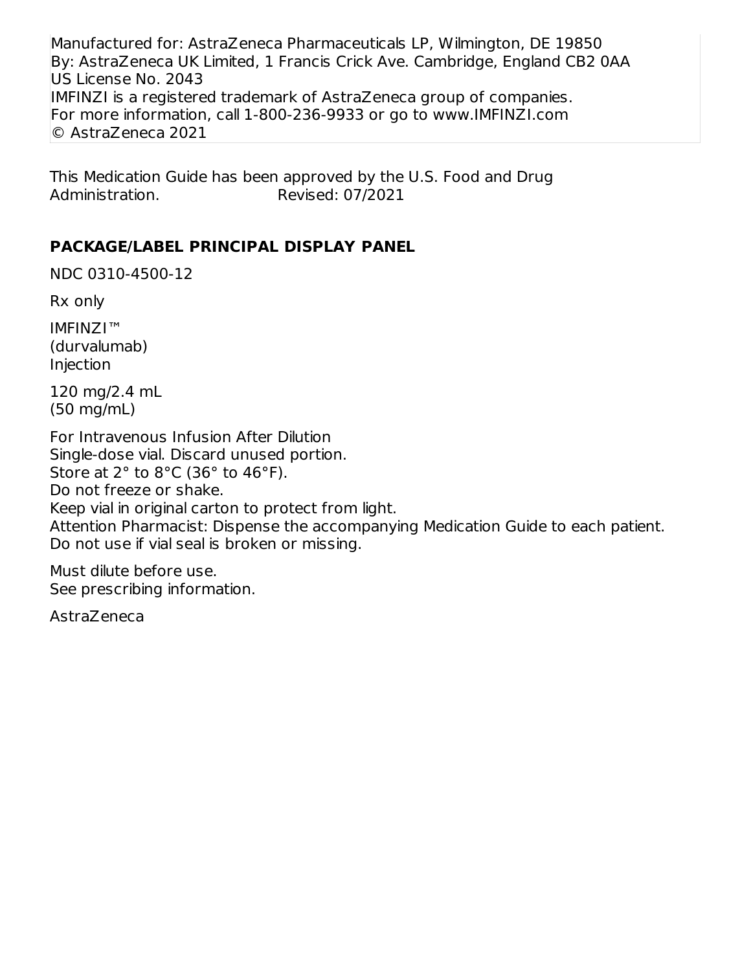Manufactured for: AstraZeneca Pharmaceuticals LP, Wilmington, DE 19850 By: AstraZeneca UK Limited, 1 Francis Crick Ave. Cambridge, England CB2 0AA US License No. 2043 IMFINZI is a registered trademark of AstraZeneca group of companies. For more information, call 1-800-236-9933 or go to www.IMFINZI.com © AstraZeneca 2021

This Medication Guide has been approved by the U.S. Food and Drug Administration. Revised: 07/2021

#### **PACKAGE/LABEL PRINCIPAL DISPLAY PANEL**

NDC 0310-4500-12

Rx only

IMFINZI™ (durvalumab) Injection

120 mg/2.4 mL (50 mg/mL)

For Intravenous Infusion After Dilution Single-dose vial. Discard unused portion. Store at 2° to 8°C (36° to 46°F). Do not freeze or shake. Keep vial in original carton to protect from light. Attention Pharmacist: Dispense the accompanying Medication Guide to each patient. Do not use if vial seal is broken or missing.

Must dilute before use. See prescribing information.

AstraZeneca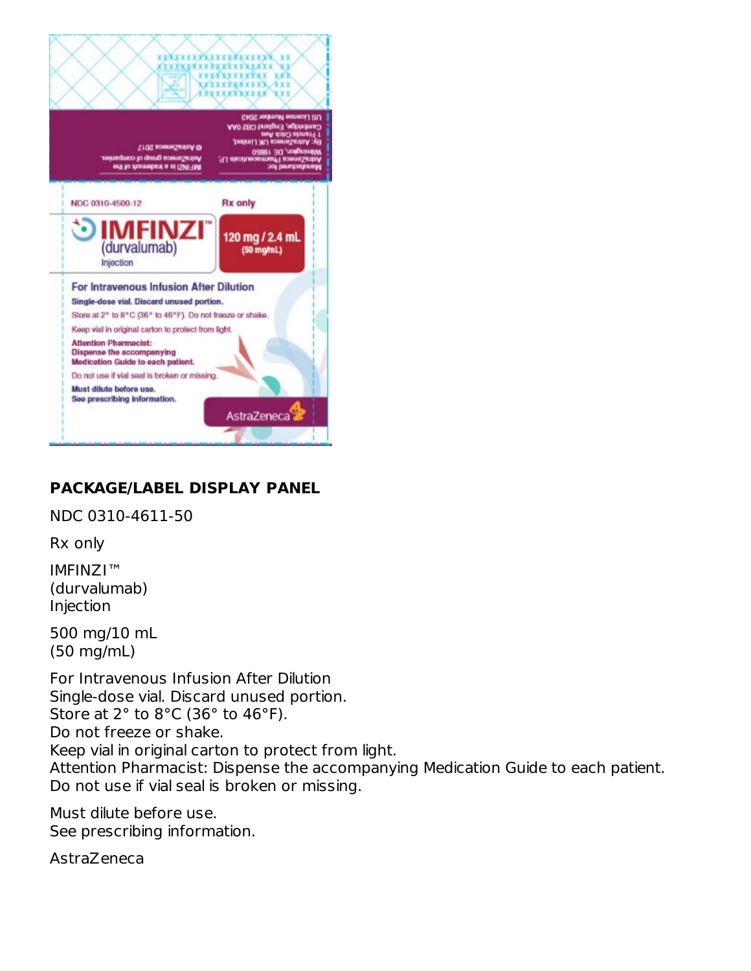

## **PACKAGE/LABEL DISPLAY PANEL**

NDC 0310-4611-50

Rx only

IMFINZI™ (durvalumab) Injection

500 mg/10 mL (50 mg/mL)

For Intravenous Infusion After Dilution Single-dose vial. Discard unused portion. Store at 2° to 8°C (36° to 46°F). Do not freeze or shake. Keep vial in original carton to protect from light. Attention Pharmacist: Dispense the accompanying Medication Guide to each patient. Do not use if vial seal is broken or missing.

Must dilute before use. See prescribing information.

AstraZeneca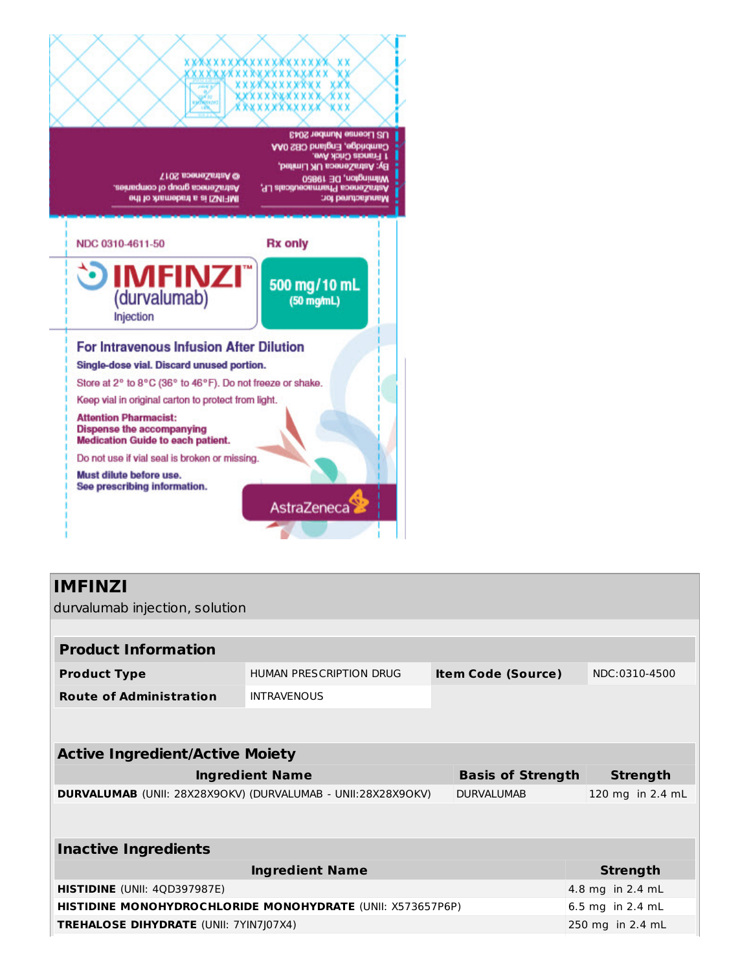

durvalumab injection, solution

| <b>Product Information</b>                                   |                         |                           |                  |
|--------------------------------------------------------------|-------------------------|---------------------------|------------------|
| <b>Product Type</b>                                          | HUMAN PRESCRIPTION DRUG | <b>Item Code (Source)</b> | NDC:0310-4500    |
| <b>Route of Administration</b>                               | <b>INTRAVENOUS</b>      |                           |                  |
|                                                              |                         |                           |                  |
| <b>Active Ingredient/Active Moiety</b>                       |                         |                           |                  |
|                                                              | <b>Ingredient Name</b>  | <b>Basis of Strength</b>  | <b>Strength</b>  |
| DURVALUMAB (UNII: 28X28X90KV) (DURVALUMAB - UNII:28X28X90KV) |                         | <b>DURVALUMAB</b>         | 120 mg in 2.4 mL |
|                                                              |                         |                           |                  |
| <b>Inactive Ingredients</b>                                  |                         |                           |                  |
|                                                              | <b>Ingredient Name</b>  |                           | <b>Strength</b>  |
| <b>HISTIDINE</b> (UNII: 4QD397987E)                          |                         |                           | 4.8 mg in 2.4 mL |
| HISTIDINE MONOHYDROCHLORIDE MONOHYDRATE (UNII: X573657P6P)   |                         |                           | 6.5 mg in 2.4 mL |
| <b>TREHALOSE DIHYDRATE (UNII: 7YIN7J07X4)</b>                |                         |                           | 250 mg in 2.4 mL |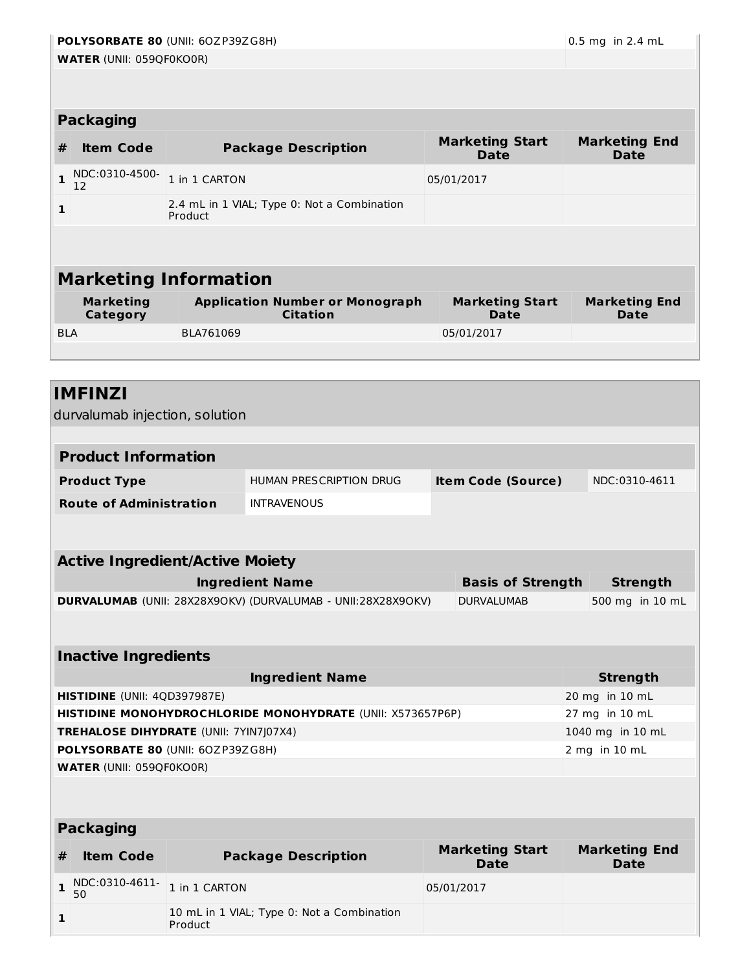# **POLYSORBATE 80** (UNII: 6OZP39ZG8H) 0.5 mg in 2.4 mL

**1**

|              | <b>Packaging</b>             |                                                           |                                       |                                     |  |  |  |  |  |
|--------------|------------------------------|-----------------------------------------------------------|---------------------------------------|-------------------------------------|--|--|--|--|--|
| #            | <b>Item Code</b>             | <b>Package Description</b>                                | <b>Marketing Start</b><br><b>Date</b> | <b>Marketing End</b><br><b>Date</b> |  |  |  |  |  |
|              | NDC:0310-4500-<br>12         | 1 in 1 CARTON                                             | 05/01/2017                            |                                     |  |  |  |  |  |
| $\mathbf{1}$ |                              | 2.4 mL in 1 VIAL; Type 0: Not a Combination<br>Product    |                                       |                                     |  |  |  |  |  |
|              |                              |                                                           |                                       |                                     |  |  |  |  |  |
|              |                              |                                                           |                                       |                                     |  |  |  |  |  |
|              |                              | <b>Marketing Information</b>                              |                                       |                                     |  |  |  |  |  |
|              | <b>Marketing</b><br>Category | <b>Application Number or Monograph</b><br><b>Citation</b> | <b>Marketing Start</b><br>Date        | <b>Marketing End</b><br>Date        |  |  |  |  |  |
| <b>BLA</b>   |                              | BLA761069                                                 | 05/01/2017                            |                                     |  |  |  |  |  |
|              |                              |                                                           |                                       |                                     |  |  |  |  |  |

# **IMFINZI** durvalumab injection, solution **Product Information Product Type** HUMAN PRESCRIPTION DRUG **Item Code (Source)** NDC:0310-4611 **Route of Administration** INTRAVENOUS **Active Ingredient/Active Moiety Ingredient Name Basis of Strength Strength DURVALUMAB** (UNII: 28X28X9OKV) (DURVALUMAB - UNII:28X28X9OKV) DURVALUMAB 500 mg in 10 mL **Inactive Ingredients Ingredient Name Strength HISTIDINE** (UNII: 4QD397987E) 20 mg in 10 mL **HISTIDINE MONOHYDROCHLORIDE MONOHYDRATE** (UNII: X573657P6P) 27 mg in 10 mL **TREHALOSE DIHYDRATE** (UNII: 7YIN7J07X4) 1040 mg in 10 mL **POLYSORBATE 80** (UNII: 6OZP39ZG8H) 2 mg in 10 mL **WATER** (UNII: 059QF0KO0R) **Packaging # Item Code Package Description Marketing Start Date Marketing End Date 1** NDC:0310-4611-50 1 in 1 CARTON 05/01/2017

10 mL in 1 VIAL; Type 0: Not a Combination

Product